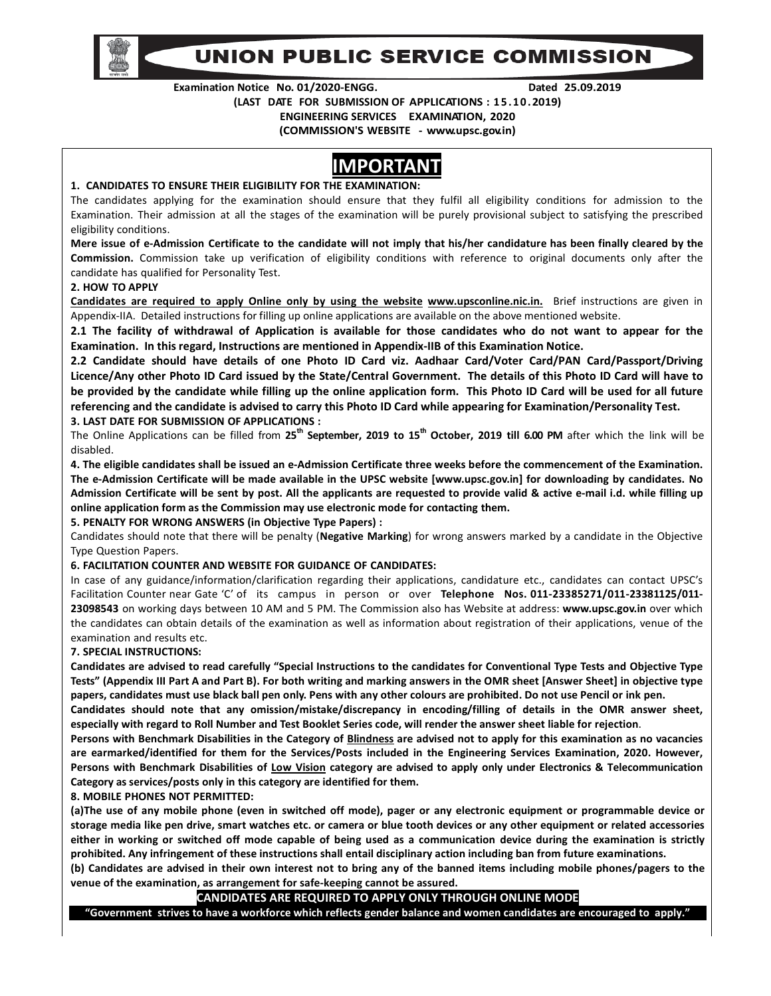

# UNION PUBLIC SERVICE COMMISSION

**Examination Notice No. 01/2020-ENGG. Dated 25.09.2019** 

**(LAST DATE FOR SUBMISSION OF APPLICATIONS : 1 5 .1 0 .2019)** 

**ENGINEERING SERVICES EXAMINATION, 2020** 

**(COMMISSION'S WEBSITE - www.upsc.gov.in)**

# **IMPORTANT**

#### **1. CANDIDATES TO ENSURE THEIR ELIGIBILITY FOR THE EXAMINATION:**

The candidates applying for the examination should ensure that they fulfil all eligibility conditions for admission to the Examination. Their admission at all the stages of the examination will be purely provisional subject to satisfying the prescribed eligibility conditions.

**Mere issue of e-Admission Certificate to the candidate will not imply that his/her candidature has been finally cleared by the Commission.** Commission take up verification of eligibility conditions with reference to original documents only after the candidate has qualified for Personality Test.

#### **2. HOW TO APPLY**

**Candidates are required to apply Online only by using the website www.upsconline.nic.in.** Brief instructions are given in Appendix-IIA. Detailed instructions for filling up online applications are available on the above mentioned website.

**2.1 The facility of withdrawal of Application is available for those candidates who do not want to appear for the Examination. In this regard, Instructions are mentioned in Appendix-IIB of this Examination Notice.** 

**2.2 Candidate should have details of one Photo ID Card viz. Aadhaar Card/Voter Card/PAN Card/Passport/Driving Licence/Any other Photo ID Card issued by the State/Central Government. The details of this Photo ID Card will have to be provided by the candidate while filling up the online application form. This Photo ID Card will be used for all future referencing and the candidate is advised to carry this Photo ID Card while appearing for Examination/Personality Test.** 

#### **3. LAST DATE FOR SUBMISSION OF APPLICATIONS :**

The Online Applications can be filled from **25th September, 2019 to 15th October, 2019 till 6.00 PM** after which the link will be disabled.

**4. The eligible candidates shall be issued an e-Admission Certificate three weeks before the commencement of the Examination. The e-Admission Certificate will be made available in the UPSC website [www.upsc.gov.in] for downloading by candidates. No Admission Certificate will be sent by post. All the applicants are requested to provide valid & active e-mail i.d. while filling up online application form as the Commission may use electronic mode for contacting them.**

#### **5. PENALTY FOR WRONG ANSWERS (in Objective Type Papers) :**

Candidates should note that there will be penalty (**Negative Marking**) for wrong answers marked by a candidate in the Objective Type Question Papers.

#### **6. FACILITATION COUNTER AND WEBSITE FOR GUIDANCE OF CANDIDATES:**

In case of any guidance/information/clarification regarding their applications, candidature etc., candidates can contact UPSC's Facilitation Counter near Gate 'C' of its campus in person or over **Telephone Nos. 011-23385271/011-23381125/011- 23098543** on working days between 10 AM and 5 PM. The Commission also has Website at address: **www.upsc.gov.in** over which the candidates can obtain details of the examination as well as information about registration of their applications, venue of the examination and results etc.

#### **7. SPECIAL INSTRUCTIONS:**

**Candidates are advised to read carefully "Special Instructions to the candidates for Conventional Type Tests and Objective Type Tests" (Appendix III Part A and Part B). For both writing and marking answers in the OMR sheet [Answer Sheet] in objective type papers, candidates must use black ball pen only. Pens with any other colours are prohibited. Do not use Pencil or ink pen.**

**Candidates should note that any omission/mistake/discrepancy in encoding/filling of details in the OMR answer sheet, especially with regard to Roll Number and Test Booklet Series code, will render the answer sheet liable for rejection**.

**Persons with Benchmark Disabilities in the Category of Blindness are advised not to apply for this examination as no vacancies are earmarked/identified for them for the Services/Posts included in the Engineering Services Examination, 2020. However, Persons with Benchmark Disabilities of Low Vision category are advised to apply only under Electronics & Telecommunication Category as services/posts only in this category are identified for them.** 

#### **8. MOBILE PHONES NOT PERMITTED:**

**(a)The use of any mobile phone (even in switched off mode), pager or any electronic equipment or programmable device or storage media like pen drive, smart watches etc. or camera or blue tooth devices or any other equipment or related accessories either in working or switched off mode capable of being used as a communication device during the examination is strictly prohibited. Any infringement of these instructions shall entail disciplinary action including ban from future examinations.** 

**(b) Candidates are advised in their own interest not to bring any of the banned items including mobile phones/pagers to the venue of the examination, as arrangement for safe-keeping cannot be assured.** 

### **CANDIDATES ARE REQUIRED TO APPLY ONLY THROUGH ONLINE MODE**

**"Government strives to have a workforce which reflects gender balance and women candidates are encouraged to apply."**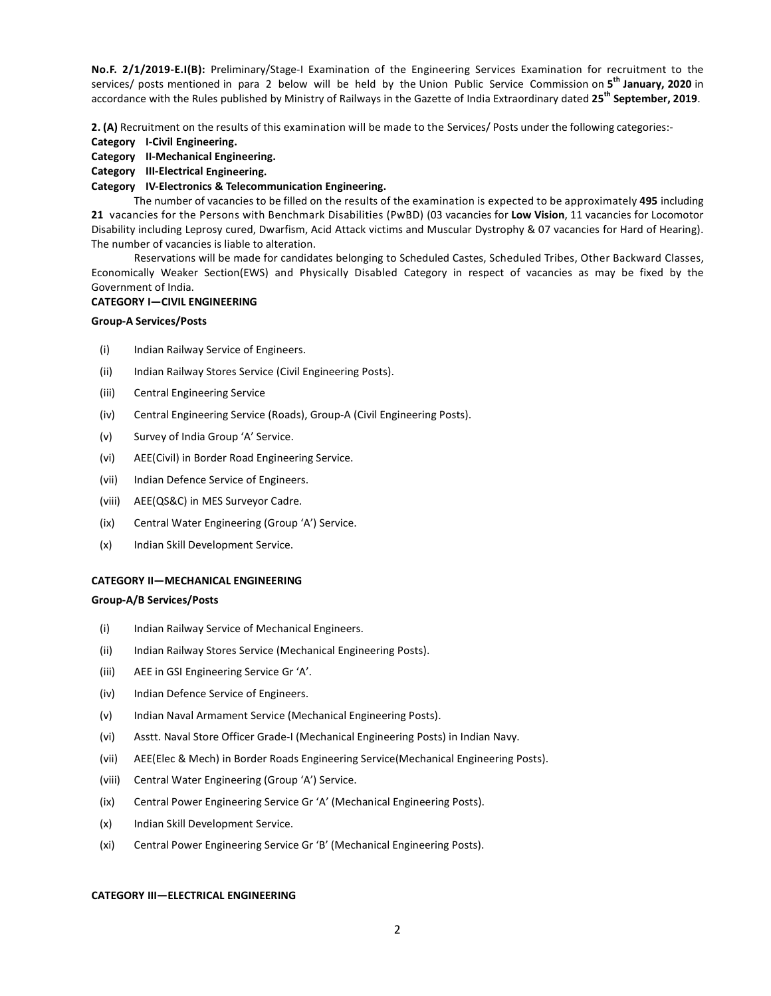**No.F. 2/1/2019-E.I(B):** Preliminary/Stage-I Examination of the Engineering Services Examination for recruitment to the services/ posts mentioned in para 2 below will be held by the Union Public Service Commission on **5 th January, 2020** in accordance with the Rules published by Ministry of Railways in the Gazette of India Extraordinary dated **25th September, 2019**.

**2. (A)** Recruitment on the results of this examination will be made to the Services/ Posts under the following categories:-

**Category I-Civil Engineering.** 

#### **Category II-Mechanical Engineering.**

#### **Category III-Electrical Engineering.**

#### **Category IV-Electronics & Telecommunication Engineering.**

 The number of vacancies to be filled on the results of the examination is expected to be approximately **495** including **21** vacancies for the Persons with Benchmark Disabilities (PwBD) (03 vacancies for **Low Vision**, 11 vacancies for Locomotor Disability including Leprosy cured, Dwarfism, Acid Attack victims and Muscular Dystrophy & 07 vacancies for Hard of Hearing). The number of vacancies is liable to alteration.

 Reservations will be made for candidates belonging to Scheduled Castes, Scheduled Tribes, Other Backward Classes, Economically Weaker Section(EWS) and Physically Disabled Category in respect of vacancies as may be fixed by the Government of India.

#### **CATEGORY I—CIVIL ENGINEERING**

#### **Group-A Services/Posts**

- (i) Indian Railway Service of Engineers.
- (ii) Indian Railway Stores Service (Civil Engineering Posts).
- (iii) Central Engineering Service
- (iv) Central Engineering Service (Roads), Group-A (Civil Engineering Posts).
- (v) Survey of India Group 'A' Service.
- (vi) AEE(Civil) in Border Road Engineering Service.
- (vii) Indian Defence Service of Engineers.
- (viii) AEE(QS&C) in MES Surveyor Cadre.
- (ix) Central Water Engineering (Group 'A') Service.
- (x) Indian Skill Development Service.

#### **CATEGORY II—MECHANICAL ENGINEERING**

#### **Group-A/B Services/Posts**

- (i) Indian Railway Service of Mechanical Engineers.
- (ii) Indian Railway Stores Service (Mechanical Engineering Posts).
- (iii) AEE in GSI Engineering Service Gr 'A'.
- (iv) Indian Defence Service of Engineers.
- (v) Indian Naval Armament Service (Mechanical Engineering Posts).
- (vi) Asstt. Naval Store Officer Grade-I (Mechanical Engineering Posts) in Indian Navy.
- (vii) AEE(Elec & Mech) in Border Roads Engineering Service(Mechanical Engineering Posts).
- (viii) Central Water Engineering (Group 'A') Service.
- (ix) Central Power Engineering Service Gr 'A' (Mechanical Engineering Posts).
- (x) Indian Skill Development Service.
- (xi) Central Power Engineering Service Gr 'B' (Mechanical Engineering Posts).

#### **CATEGORY III—ELECTRICAL ENGINEERING**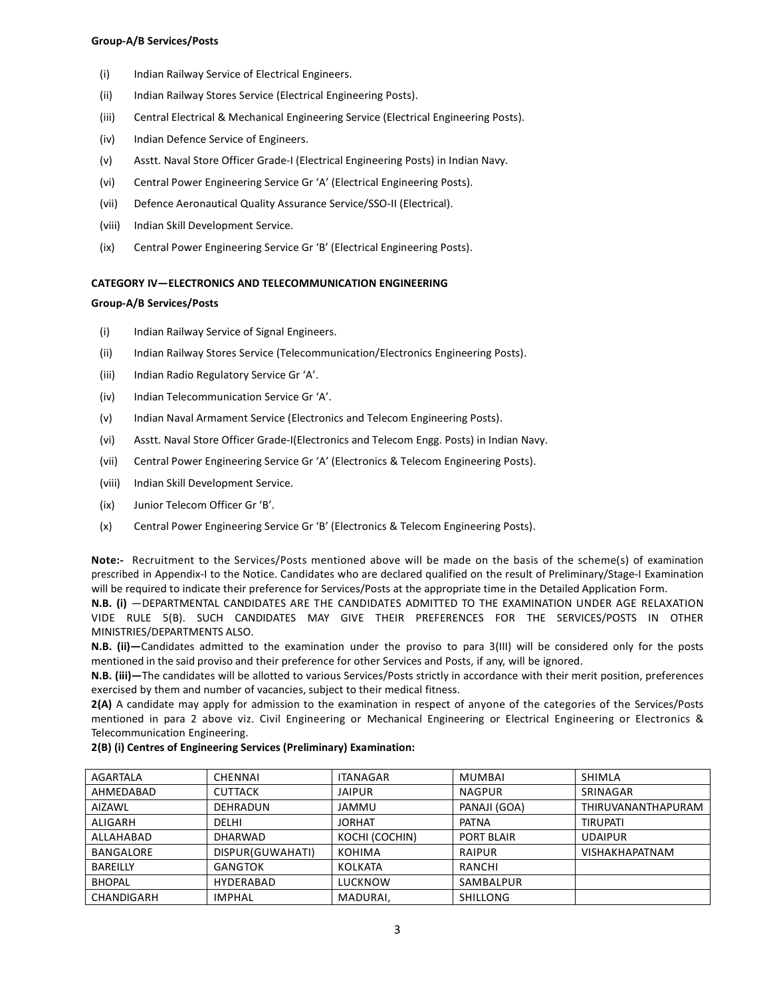#### **Group-A/B Services/Posts**

- (i) Indian Railway Service of Electrical Engineers.
- (ii) Indian Railway Stores Service (Electrical Engineering Posts).
- (iii) Central Electrical & Mechanical Engineering Service (Electrical Engineering Posts).
- (iv) Indian Defence Service of Engineers.
- (v) Asstt. Naval Store Officer Grade-I (Electrical Engineering Posts) in Indian Navy.
- (vi) Central Power Engineering Service Gr 'A' (Electrical Engineering Posts).
- (vii) Defence Aeronautical Quality Assurance Service/SSO-II (Electrical).
- (viii) Indian Skill Development Service.
- (ix) Central Power Engineering Service Gr 'B' (Electrical Engineering Posts).

#### **CATEGORY IV—ELECTRONICS AND TELECOMMUNICATION ENGINEERING**

#### **Group-A/B Services/Posts**

- (i) Indian Railway Service of Signal Engineers.
- (ii) Indian Railway Stores Service (Telecommunication/Electronics Engineering Posts).
- (iii) Indian Radio Regulatory Service Gr 'A'.
- (iv) Indian Telecommunication Service Gr 'A'.
- (v) Indian Naval Armament Service (Electronics and Telecom Engineering Posts).
- (vi) Asstt. Naval Store Officer Grade-I(Electronics and Telecom Engg. Posts) in Indian Navy.
- (vii) Central Power Engineering Service Gr 'A' (Electronics & Telecom Engineering Posts).
- (viii) Indian Skill Development Service.
- (ix) Junior Telecom Officer Gr 'B'.
- (x) Central Power Engineering Service Gr 'B' (Electronics & Telecom Engineering Posts).

**Note:-** Recruitment to the Services/Posts mentioned above will be made on the basis of the scheme(s) of examination prescribed in Appendix-I to the Notice. Candidates who are declared qualified on the result of Preliminary/Stage-I Examination will be required to indicate their preference for Services/Posts at the appropriate time in the Detailed Application Form.

**N.B. (i)** —DEPARTMENTAL CANDIDATES ARE THE CANDIDATES ADMITTED TO THE EXAMINATION UNDER AGE RELAXATION VIDE RULE 5(B). SUCH CANDIDATES MAY GIVE THEIR PREFERENCES FOR THE SERVICES/POSTS IN OTHER MINISTRIES/DEPARTMENTS ALSO.

**N.B. (ii)—**Candidates admitted to the examination under the proviso to para 3(III) will be considered only for the posts mentioned in the said proviso and their preference for other Services and Posts, if any, will be ignored.

**N.B. (iii)—**The candidates will be allotted to various Services/Posts strictly in accordance with their merit position, preferences exercised by them and number of vacancies, subject to their medical fitness.

**2(A)** A candidate may apply for admission to the examination in respect of anyone of the categories of the Services/Posts mentioned in para 2 above viz. Civil Engineering or Mechanical Engineering or Electrical Engineering or Electronics & Telecommunication Engineering.

#### **2(B) (i) Centres of Engineering Services (Preliminary) Examination:**

| AGARTALA        | <b>CHENNAI</b>   | ITANAGAR       | MUMBAI          | <b>SHIMLA</b>         |
|-----------------|------------------|----------------|-----------------|-----------------------|
| AHMEDABAD       | <b>CUTTACK</b>   | <b>JAIPUR</b>  | <b>NAGPUR</b>   | SRINAGAR              |
| <b>AIZAWL</b>   | <b>DEHRADUN</b>  | <b>JAMMU</b>   | PANAJI (GOA)    | THIRUVANANTHAPURAM    |
| ALIGARH         | <b>DELHI</b>     | <b>JORHAT</b>  | <b>PATNA</b>    | <b>TIRUPATI</b>       |
| ALLAHABAD       | <b>DHARWAD</b>   | KOCHI (COCHIN) | PORT BLAIR      | <b>UDAIPUR</b>        |
| BANGALORE       | DISPUR(GUWAHATI) | <b>KOHIMA</b>  | <b>RAIPUR</b>   | <b>VISHAKHAPATNAM</b> |
| <b>BAREILLY</b> | <b>GANGTOK</b>   | KOLKATA        | RANCHI          |                       |
| <b>BHOPAL</b>   | HYDERABAD        | LUCKNOW        | SAMBALPUR       |                       |
| CHANDIGARH      | <b>IMPHAL</b>    | MADURAI,       | <b>SHILLONG</b> |                       |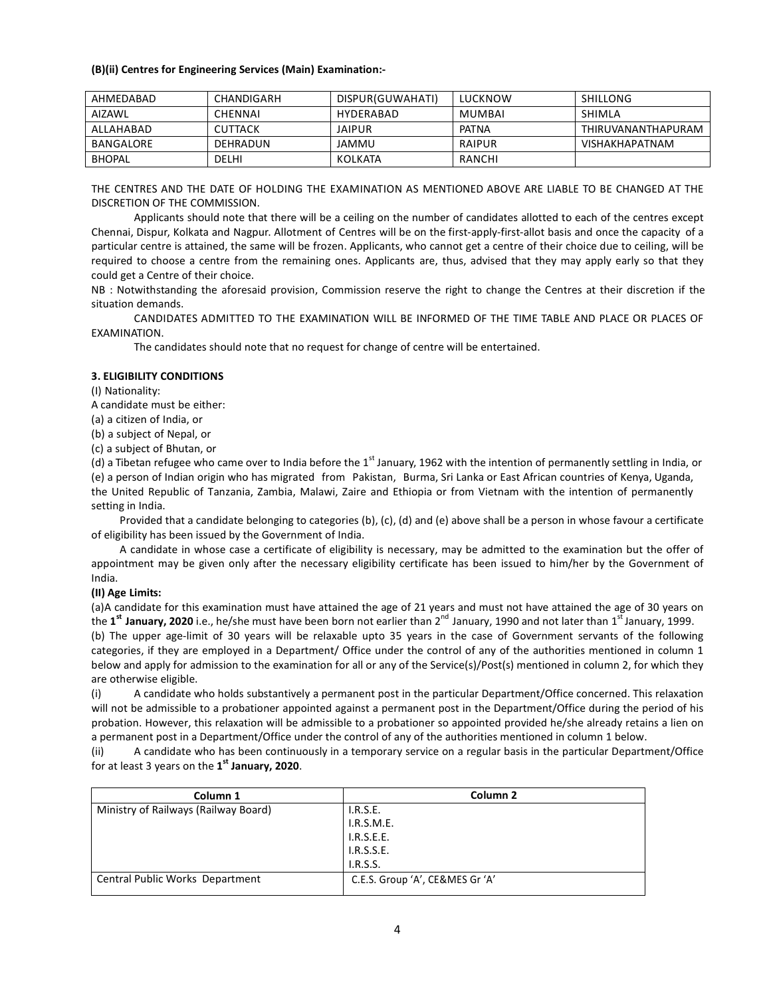#### **(B)(ii) Centres for Engineering Services (Main) Examination:-**

| AHMFDABAD     | CHANDIGARH     | DISPUR(GUWAHATI) | LUCKNOW      | SHILLONG              |
|---------------|----------------|------------------|--------------|-----------------------|
| AIZAWL        | CHENNAI        | HYDFRABAD        | MUMBAI       | SHIMLA                |
| AILAHARAD     | <b>CUTTACK</b> | <b>JAIPUR</b>    | <b>PATNA</b> | THIRUVANANTHAPURAM    |
| BANGALORE     | DEHRADUN       | JAMMU            | RAIPUR       | <b>VISHAKHAPATNAM</b> |
| <b>BHOPAL</b> | DELHI          | KOLKATA          | RANCHI       |                       |

THE CENTRES AND THE DATE OF HOLDING THE EXAMINATION AS MENTIONED ABOVE ARE LIABLE TO BE CHANGED AT THE DISCRETION OF THE COMMISSION.

 Applicants should note that there will be a ceiling on the number of candidates allotted to each of the centres except Chennai, Dispur, Kolkata and Nagpur. Allotment of Centres will be on the first-apply-first-allot basis and once the capacity of a particular centre is attained, the same will be frozen. Applicants, who cannot get a centre of their choice due to ceiling, will be required to choose a centre from the remaining ones. Applicants are, thus, advised that they may apply early so that they could get a Centre of their choice.

NB : Notwithstanding the aforesaid provision, Commission reserve the right to change the Centres at their discretion if the situation demands.

 CANDIDATES ADMITTED TO THE EXAMINATION WILL BE INFORMED OF THE TIME TABLE AND PLACE OR PLACES OF EXAMINATION.

The candidates should note that no request for change of centre will be entertained.

#### **3. ELIGIBILITY CONDITIONS**

(I) Nationality:

A candidate must be either:

(a) a citizen of India, or

(b) a subject of Nepal, or

(c) a subject of Bhutan, or

(d) a Tibetan refugee who came over to India before the  $1<sup>st</sup>$  January, 1962 with the intention of permanently settling in India, or (e) a person of Indian origin who has migrated from Pakistan, Burma, Sri Lanka or East African countries of Kenya, Uganda, the United Republic of Tanzania, Zambia, Malawi, Zaire and Ethiopia or from Vietnam with the intention of permanently setting in India.

Provided that a candidate belonging to categories (b), (c), (d) and (e) above shall be a person in whose favour a certificate of eligibility has been issued by the Government of India.

A candidate in whose case a certificate of eligibility is necessary, may be admitted to the examination but the offer of appointment may be given only after the necessary eligibility certificate has been issued to him/her by the Government of India.

#### **(II) Age Limits:**

(a)A candidate for this examination must have attained the age of 21 years and must not have attained the age of 30 years on the 1<sup>st</sup> January, 2020 i.e., he/she must have been born not earlier than 2<sup>nd</sup> January, 1990 and not later than 1<sup>st</sup> January, 1999.

(b) The upper age-limit of 30 years will be relaxable upto 35 years in the case of Government servants of the following categories, if they are employed in a Department/ Office under the control of any of the authorities mentioned in column 1 below and apply for admission to the examination for all or any of the Service(s)/Post(s) mentioned in column 2, for which they are otherwise eligible.

(i) A candidate who holds substantively a permanent post in the particular Department/Office concerned. This relaxation will not be admissible to a probationer appointed against a permanent post in the Department/Office during the period of his probation. However, this relaxation will be admissible to a probationer so appointed provided he/she already retains a lien on a permanent post in a Department/Office under the control of any of the authorities mentioned in column 1 below.

(ii) A candidate who has been continuously in a temporary service on a regular basis in the particular Department/Office for at least 3 years on the **1 st January, 2020**.

| Column 1                             | Column <sub>2</sub>             |
|--------------------------------------|---------------------------------|
| Ministry of Railways (Railway Board) | I.R.S.E.                        |
|                                      | I.R.S.M.E.                      |
|                                      | I.R.S.E.E.                      |
|                                      | I.R.S.S.E.                      |
|                                      | I.R.S.S.                        |
| Central Public Works Department      | C.E.S. Group 'A', CE&MES Gr 'A' |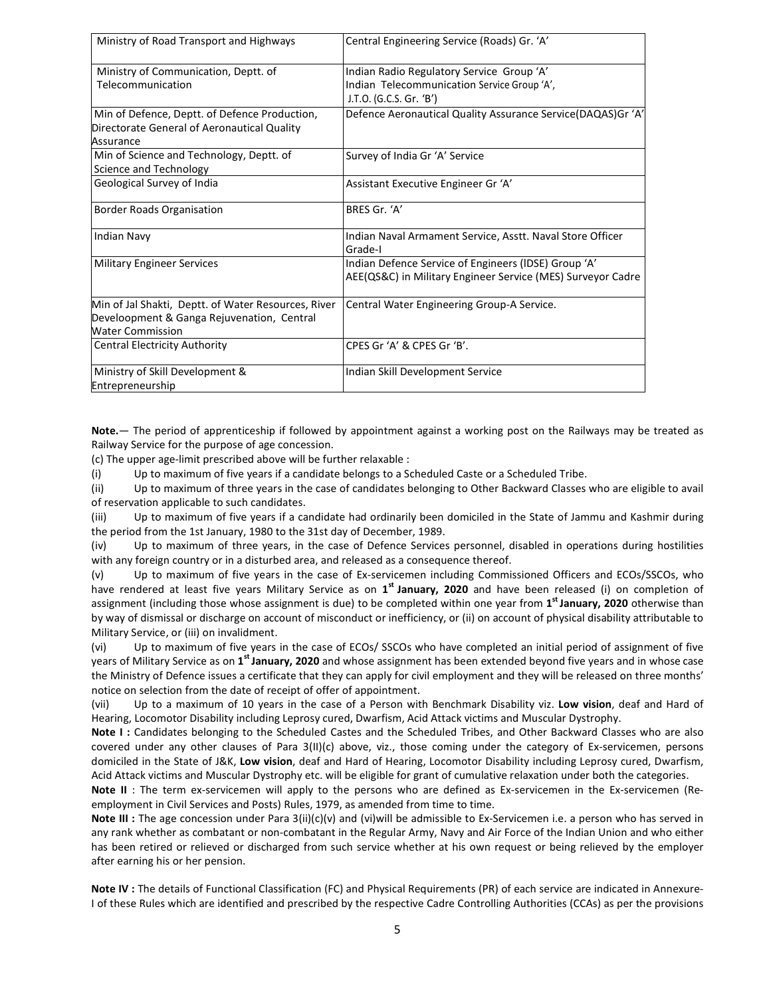| Ministry of Road Transport and Highways             | Central Engineering Service (Roads) Gr. 'A'                 |
|-----------------------------------------------------|-------------------------------------------------------------|
| Ministry of Communication, Deptt. of                | Indian Radio Regulatory Service Group 'A'                   |
| Telecommunication                                   | Indian Telecommunication Service Group 'A',                 |
|                                                     | J.T.O. (G.C.S. Gr. 'B')                                     |
| Min of Defence, Deptt. of Defence Production,       | Defence Aeronautical Quality Assurance Service(DAQAS)Gr 'A' |
| Directorate General of Aeronautical Quality         |                                                             |
| Assurance                                           |                                                             |
| Min of Science and Technology, Deptt. of            | Survey of India Gr 'A' Service                              |
| Science and Technology                              |                                                             |
| Geological Survey of India                          | Assistant Executive Engineer Gr 'A'                         |
| Border Roads Organisation                           | BRES Gr. 'A'                                                |
| <b>Indian Navy</b>                                  | Indian Naval Armament Service, Asstt. Naval Store Officer   |
|                                                     | Grade-I                                                     |
| <b>Military Engineer Services</b>                   | Indian Defence Service of Engineers (IDSE) Group 'A'        |
|                                                     | AEE(QS&C) in Military Engineer Service (MES) Surveyor Cadre |
| Min of Jal Shakti, Deptt. of Water Resources, River | Central Water Engineering Group-A Service.                  |
| Develoopment & Ganga Rejuvenation, Central          |                                                             |
| <b>Water Commission</b>                             |                                                             |
| <b>Central Electricity Authority</b>                | CPES Gr'A' & CPES Gr'B'.                                    |
| Ministry of Skill Development &                     | Indian Skill Development Service                            |
| Entrepreneurship                                    |                                                             |

**Note.**— The period of apprenticeship if followed by appointment against a working post on the Railways may be treated as Railway Service for the purpose of age concession.

(c) The upper age-limit prescribed above will be further relaxable :

(i) Up to maximum of five years if a candidate belongs to a Scheduled Caste or a Scheduled Tribe.

(ii) Up to maximum of three years in the case of candidates belonging to Other Backward Classes who are eligible to avail of reservation applicable to such candidates.

(iii) Up to maximum of five years if a candidate had ordinarily been domiciled in the State of Jammu and Kashmir during the period from the 1st January, 1980 to the 31st day of December, 1989.

(iv) Up to maximum of three years, in the case of Defence Services personnel, disabled in operations during hostilities with any foreign country or in a disturbed area, and released as a consequence thereof.

(v) Up to maximum of five years in the case of Ex-servicemen including Commissioned Officers and ECOs/SSCOs, who have rendered at least five years Military Service as on 1<sup>st</sup> January, 2020 and have been released (i) on completion of assignment (including those whose assignment is due) to be completed within one year from **1 st January, 2020** otherwise than by way of dismissal or discharge on account of misconduct or inefficiency, or (ii) on account of physical disability attributable to Military Service, or (iii) on invalidment.

(vi) Up to maximum of five years in the case of ECOs/ SSCOs who have completed an initial period of assignment of five years of Military Service as on **1 st January, 2020** and whose assignment has been extended beyond five years and in whose case the Ministry of Defence issues a certificate that they can apply for civil employment and they will be released on three months' notice on selection from the date of receipt of offer of appointment.

(vii) Up to a maximum of 10 years in the case of a Person with Benchmark Disability viz. **Low vision**, deaf and Hard of Hearing, Locomotor Disability including Leprosy cured, Dwarfism, Acid Attack victims and Muscular Dystrophy.

**Note I :** Candidates belonging to the Scheduled Castes and the Scheduled Tribes, and Other Backward Classes who are also covered under any other clauses of Para 3(II)(c) above, viz., those coming under the category of Ex-servicemen, persons domiciled in the State of J&K, **Low vision**, deaf and Hard of Hearing, Locomotor Disability including Leprosy cured, Dwarfism, Acid Attack victims and Muscular Dystrophy etc. will be eligible for grant of cumulative relaxation under both the categories.

**Note II** : The term ex-servicemen will apply to the persons who are defined as Ex-servicemen in the Ex-servicemen (Reemployment in Civil Services and Posts) Rules, 1979, as amended from time to time.

**Note III :** The age concession under Para 3(ii)(c)(v) and (vi)will be admissible to Ex-Servicemen i.e. a person who has served in any rank whether as combatant or non-combatant in the Regular Army, Navy and Air Force of the Indian Union and who either has been retired or relieved or discharged from such service whether at his own request or being relieved by the employer after earning his or her pension.

**Note IV :** The details of Functional Classification (FC) and Physical Requirements (PR) of each service are indicated in Annexure-I of these Rules which are identified and prescribed by the respective Cadre Controlling Authorities (CCAs) as per the provisions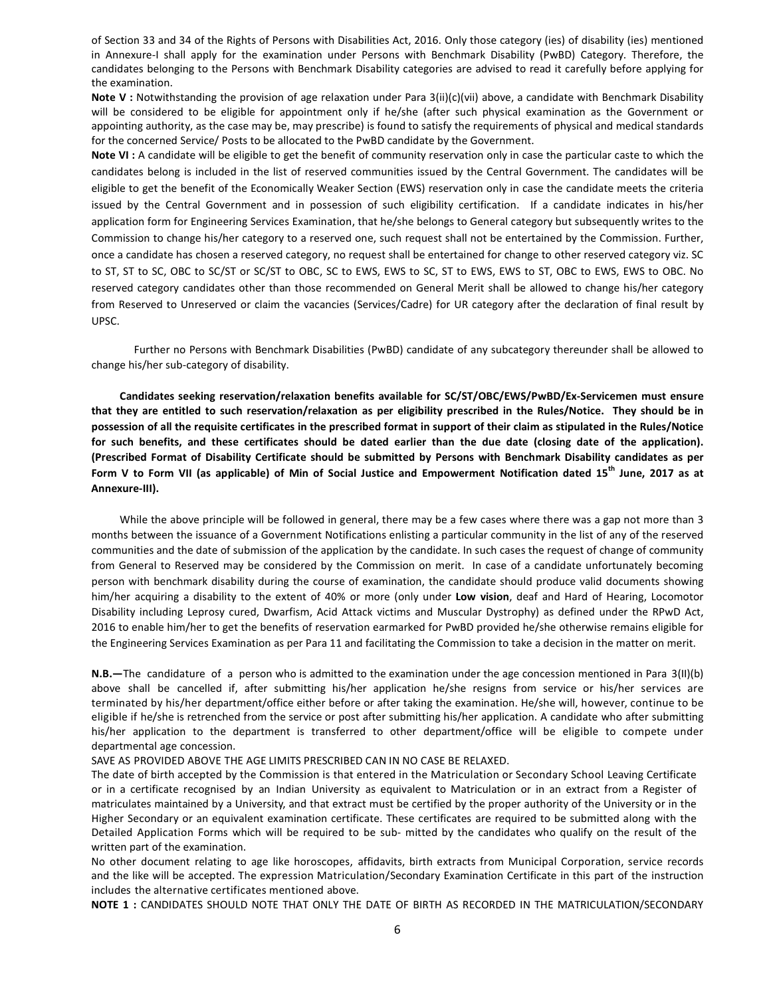of Section 33 and 34 of the Rights of Persons with Disabilities Act, 2016. Only those category (ies) of disability (ies) mentioned in Annexure-I shall apply for the examination under Persons with Benchmark Disability (PwBD) Category. Therefore, the candidates belonging to the Persons with Benchmark Disability categories are advised to read it carefully before applying for the examination.

**Note V :** Notwithstanding the provision of age relaxation under Para 3(ii)(c)(vii) above, a candidate with Benchmark Disability will be considered to be eligible for appointment only if he/she (after such physical examination as the Government or appointing authority, as the case may be, may prescribe) is found to satisfy the requirements of physical and medical standards for the concerned Service/ Posts to be allocated to the PwBD candidate by the Government.

**Note VI :** A candidate will be eligible to get the benefit of community reservation only in case the particular caste to which the candidates belong is included in the list of reserved communities issued by the Central Government. The candidates will be eligible to get the benefit of the Economically Weaker Section (EWS) reservation only in case the candidate meets the criteria issued by the Central Government and in possession of such eligibility certification. If a candidate indicates in his/her application form for Engineering Services Examination, that he/she belongs to General category but subsequently writes to the Commission to change his/her category to a reserved one, such request shall not be entertained by the Commission. Further, once a candidate has chosen a reserved category, no request shall be entertained for change to other reserved category viz. SC to ST, ST to SC, OBC to SC/ST or SC/ST to OBC, SC to EWS, EWS to SC, ST to EWS, EWS to ST, OBC to EWS, EWS to OBC. No reserved category candidates other than those recommended on General Merit shall be allowed to change his/her category from Reserved to Unreserved or claim the vacancies (Services/Cadre) for UR category after the declaration of final result by UPSC.

 Further no Persons with Benchmark Disabilities (PwBD) candidate of any subcategory thereunder shall be allowed to change his/her sub-category of disability.

**Candidates seeking reservation/relaxation benefits available for SC/ST/OBC/EWS/PwBD/Ex-Servicemen must ensure that they are entitled to such reservation/relaxation as per eligibility prescribed in the Rules/Notice. They should be in possession of all the requisite certificates in the prescribed format in support of their claim as stipulated in the Rules/Notice for such benefits, and these certificates should be dated earlier than the due date (closing date of the application). (Prescribed Format of Disability Certificate should be submitted by Persons with Benchmark Disability candidates as per Form V to Form VII (as applicable) of Min of Social Justice and Empowerment Notification dated 15th June, 2017 as at Annexure-III).** 

While the above principle will be followed in general, there may be a few cases where there was a gap not more than 3 months between the issuance of a Government Notifications enlisting a particular community in the list of any of the reserved communities and the date of submission of the application by the candidate. In such cases the request of change of community from General to Reserved may be considered by the Commission on merit. In case of a candidate unfortunately becoming person with benchmark disability during the course of examination, the candidate should produce valid documents showing him/her acquiring a disability to the extent of 40% or more (only under **Low vision**, deaf and Hard of Hearing, Locomotor Disability including Leprosy cured, Dwarfism, Acid Attack victims and Muscular Dystrophy) as defined under the RPwD Act, 2016 to enable him/her to get the benefits of reservation earmarked for PwBD provided he/she otherwise remains eligible for the Engineering Services Examination as per Para 11 and facilitating the Commission to take a decision in the matter on merit.

**N.B.—**The candidature of a person who is admitted to the examination under the age concession mentioned in Para 3(II)(b) above shall be cancelled if, after submitting his/her application he/she resigns from service or his/her services are terminated by his/her department/office either before or after taking the examination. He/she will, however, continue to be eligible if he/she is retrenched from the service or post after submitting his/her application. A candidate who after submitting his/her application to the department is transferred to other department/office will be eligible to compete under departmental age concession.

SAVE AS PROVIDED ABOVE THE AGE LIMITS PRESCRIBED CAN IN NO CASE BE RELAXED.

The date of birth accepted by the Commission is that entered in the Matriculation or Secondary School Leaving Certificate or in a certificate recognised by an Indian University as equivalent to Matriculation or in an extract from a Register of matriculates maintained by a University, and that extract must be certified by the proper authority of the University or in the Higher Secondary or an equivalent examination certificate. These certificates are required to be submitted along with the Detailed Application Forms which will be required to be sub- mitted by the candidates who qualify on the result of the written part of the examination.

No other document relating to age like horoscopes, affidavits, birth extracts from Municipal Corporation, service records and the like will be accepted. The expression Matriculation/Secondary Examination Certificate in this part of the instruction includes the alternative certificates mentioned above.

**NOTE 1 :** CANDIDATES SHOULD NOTE THAT ONLY THE DATE OF BIRTH AS RECORDED IN THE MATRICULATION/SECONDARY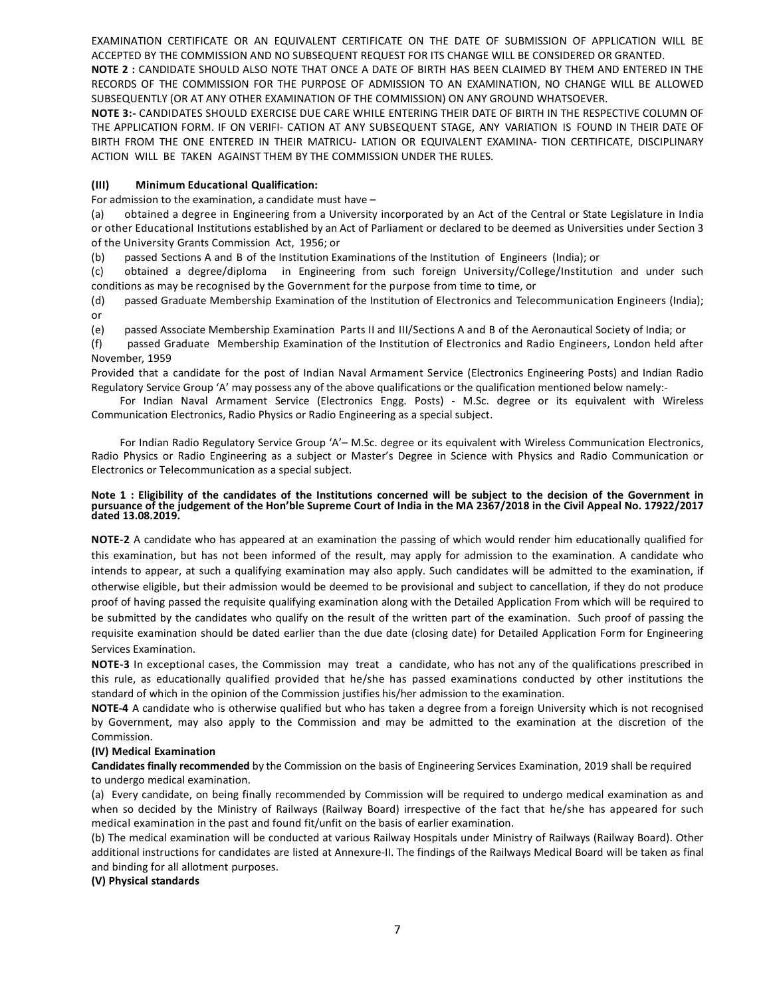EXAMINATION CERTIFICATE OR AN EQUIVALENT CERTIFICATE ON THE DATE OF SUBMISSION OF APPLICATION WILL BE ACCEPTED BY THE COMMISSION AND NO SUBSEQUENT REQUEST FOR ITS CHANGE WILL BE CONSIDERED OR GRANTED.

**NOTE 2 :** CANDIDATE SHOULD ALSO NOTE THAT ONCE A DATE OF BIRTH HAS BEEN CLAIMED BY THEM AND ENTERED IN THE RECORDS OF THE COMMISSION FOR THE PURPOSE OF ADMISSION TO AN EXAMINATION, NO CHANGE WILL BE ALLOWED SUBSEQUENTLY (OR AT ANY OTHER EXAMINATION OF THE COMMISSION) ON ANY GROUND WHATSOEVER.

**NOTE 3:-** CANDIDATES SHOULD EXERCISE DUE CARE WHILE ENTERING THEIR DATE OF BIRTH IN THE RESPECTIVE COLUMN OF THE APPLICATION FORM. IF ON VERIFI- CATION AT ANY SUBSEQUENT STAGE, ANY VARIATION IS FOUND IN THEIR DATE OF BIRTH FROM THE ONE ENTERED IN THEIR MATRICU- LATION OR EQUIVALENT EXAMINA- TION CERTIFICATE, DISCIPLINARY ACTION WILL BE TAKEN AGAINST THEM BY THE COMMISSION UNDER THE RULES.

#### **(III) Minimum Educational Qualification:**

For admission to the examination, a candidate must have –

(a) obtained a degree in Engineering from a University incorporated by an Act of the Central or State Legislature in India or other Educational Institutions established by an Act of Parliament or declared to be deemed as Universities under Section 3 of the University Grants Commission Act, 1956; or

(b) passed Sections A and B of the Institution Examinations of the Institution of Engineers (India); or

(c) obtained a degree/diploma in Engineering from such foreign University/College/Institution and under such conditions as may be recognised by the Government for the purpose from time to time, or

(d) passed Graduate Membership Examination of the Institution of Electronics and Telecommunication Engineers (India); or

(e) passed Associate Membership Examination Parts II and III/Sections A and B of the Aeronautical Society of India; or

(f) passed Graduate Membership Examination of the Institution of Electronics and Radio Engineers, London held after November, 1959

Provided that a candidate for the post of Indian Naval Armament Service (Electronics Engineering Posts) and Indian Radio Regulatory Service Group 'A' may possess any of the above qualifications or the qualification mentioned below namely:-

For Indian Naval Armament Service (Electronics Engg. Posts) - M.Sc. degree or its equivalent with Wireless Communication Electronics, Radio Physics or Radio Engineering as a special subject.

For Indian Radio Regulatory Service Group 'A'– M.Sc. degree or its equivalent with Wireless Communication Electronics, Radio Physics or Radio Engineering as a subject or Master's Degree in Science with Physics and Radio Communication or Electronics or Telecommunication as a special subject.

#### **Note 1 : Eligibility of the candidates of the Institutions concerned will be subject to the decision of the Government in pursuance of the judgement of the Hon'ble Supreme Court of India in the MA 2367/2018 in the Civil Appeal No. 17922/2017 dated 13.08.2019.**

**NOTE-2** A candidate who has appeared at an examination the passing of which would render him educationally qualified for this examination, but has not been informed of the result, may apply for admission to the examination. A candidate who intends to appear, at such a qualifying examination may also apply. Such candidates will be admitted to the examination, if otherwise eligible, but their admission would be deemed to be provisional and subject to cancellation, if they do not produce proof of having passed the requisite qualifying examination along with the Detailed Application From which will be required to be submitted by the candidates who qualify on the result of the written part of the examination. Such proof of passing the requisite examination should be dated earlier than the due date (closing date) for Detailed Application Form for Engineering Services Examination.

**NOTE-3** In exceptional cases, the Commission may treat a candidate, who has not any of the qualifications prescribed in this rule, as educationally qualified provided that he/she has passed examinations conducted by other institutions the standard of which in the opinion of the Commission justifies his/her admission to the examination.

**NOTE-4** A candidate who is otherwise qualified but who has taken a degree from a foreign University which is not recognised by Government, may also apply to the Commission and may be admitted to the examination at the discretion of the Commission.

#### **(IV) Medical Examination**

**Candidates finally recommended** by the Commission on the basis of Engineering Services Examination, 2019 shall be required to undergo medical examination.

(a) Every candidate, on being finally recommended by Commission will be required to undergo medical examination as and when so decided by the Ministry of Railways (Railway Board) irrespective of the fact that he/she has appeared for such medical examination in the past and found fit/unfit on the basis of earlier examination.

(b) The medical examination will be conducted at various Railway Hospitals under Ministry of Railways (Railway Board). Other additional instructions for candidates are listed at Annexure-II. The findings of the Railways Medical Board will be taken as final and binding for all allotment purposes.

**(V) Physical standards**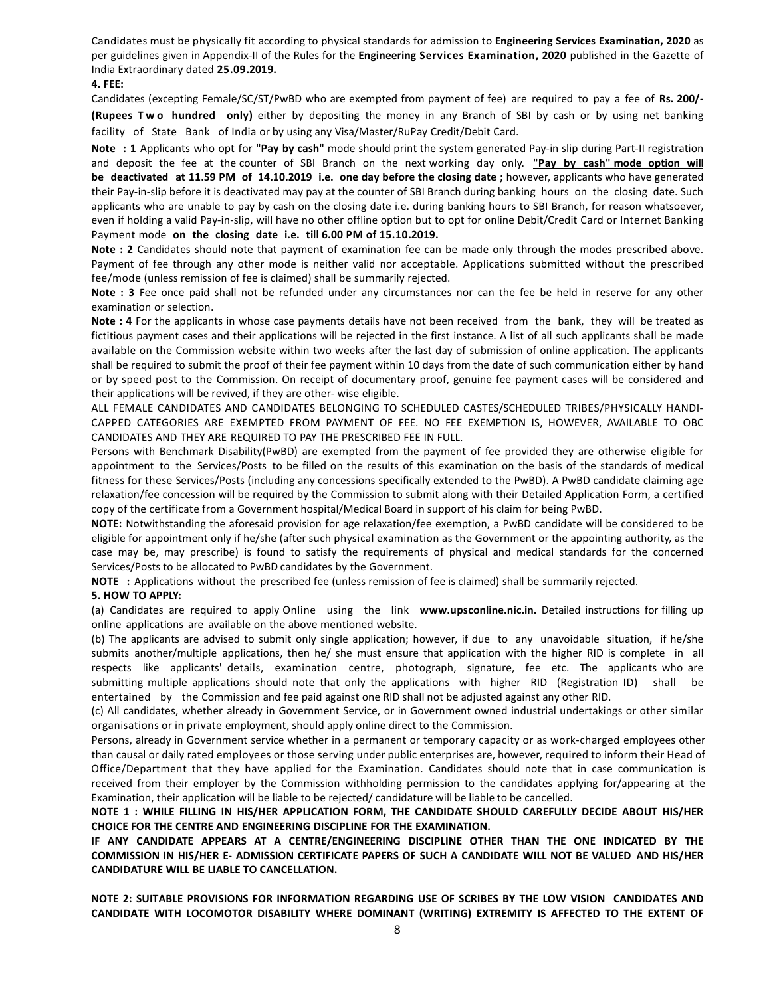Candidates must be physically fit according to physical standards for admission to **Engineering Services Examination, 2020** as per guidelines given in Appendix-II of the Rules for the **Engineering Services Examination, 2020** published in the Gazette of India Extraordinary dated **25.09.2019.** 

#### **4. FEE:**

Candidates (excepting Female/SC/ST/PwBD who are exempted from payment of fee) are required to pay a fee of **Rs. 200/- (Rupees T w o hundred only)** either by depositing the money in any Branch of SBI by cash or by using net banking facility of State Bank of India or by using any Visa/Master/RuPay Credit/Debit Card.

**Note : 1** Applicants who opt for **"Pay by cash"** mode should print the system generated Pay-in slip during Part-II registration and deposit the fee at the counter of SBI Branch on the next working day only. **"Pay by cash" mode option will be deactivated at 11.59 PM of 14.10.2019 i.e. one day before the closing date ;** however, applicants who have generated their Pay-in-slip before it is deactivated may pay at the counter of SBI Branch during banking hours on the closing date. Such applicants who are unable to pay by cash on the closing date i.e. during banking hours to SBI Branch, for reason whatsoever, even if holding a valid Pay-in-slip, will have no other offline option but to opt for online Debit/Credit Card or Internet Banking Payment mode **on the closing date i.e. till 6.00 PM of 15.10.2019.** 

**Note : 2** Candidates should note that payment of examination fee can be made only through the modes prescribed above. Payment of fee through any other mode is neither valid nor acceptable. Applications submitted without the prescribed fee/mode (unless remission of fee is claimed) shall be summarily rejected.

**Note : 3** Fee once paid shall not be refunded under any circumstances nor can the fee be held in reserve for any other examination or selection.

**Note : 4** For the applicants in whose case payments details have not been received from the bank, they will be treated as fictitious payment cases and their applications will be rejected in the first instance. A list of all such applicants shall be made available on the Commission website within two weeks after the last day of submission of online application. The applicants shall be required to submit the proof of their fee payment within 10 days from the date of such communication either by hand or by speed post to the Commission. On receipt of documentary proof, genuine fee payment cases will be considered and their applications will be revived, if they are other- wise eligible.

ALL FEMALE CANDIDATES AND CANDIDATES BELONGING TO SCHEDULED CASTES/SCHEDULED TRIBES/PHYSICALLY HANDI-CAPPED CATEGORIES ARE EXEMPTED FROM PAYMENT OF FEE. NO FEE EXEMPTION IS, HOWEVER, AVAILABLE TO OBC CANDIDATES AND THEY ARE REQUIRED TO PAY THE PRESCRIBED FEE IN FULL.

Persons with Benchmark Disability(PwBD) are exempted from the payment of fee provided they are otherwise eligible for appointment to the Services/Posts to be filled on the results of this examination on the basis of the standards of medical fitness for these Services/Posts (including any concessions specifically extended to the PwBD). A PwBD candidate claiming age relaxation/fee concession will be required by the Commission to submit along with their Detailed Application Form, a certified copy of the certificate from a Government hospital/Medical Board in support of his claim for being PwBD.

**NOTE:** Notwithstanding the aforesaid provision for age relaxation/fee exemption, a PwBD candidate will be considered to be eligible for appointment only if he/she (after such physical examination as the Government or the appointing authority, as the case may be, may prescribe) is found to satisfy the requirements of physical and medical standards for the concerned Services/Posts to be allocated to PwBD candidates by the Government.

**NOTE :** Applications without the prescribed fee (unless remission of fee is claimed) shall be summarily rejected.

#### **5. HOW TO APPLY:**

(a) Candidates are required to apply Online using the link **www.upsconline.nic.in.** Detailed instructions for filling up online applications are available on the above mentioned website.

(b) The applicants are advised to submit only single application; however, if due to any unavoidable situation, if he/she submits another/multiple applications, then he/ she must ensure that application with the higher RID is complete in all respects like applicants' details, examination centre, photograph, signature, fee etc. The applicants who are submitting multiple applications should note that only the applications with higher RID (Registration ID) shall be entertained by the Commission and fee paid against one RID shall not be adjusted against any other RID.

(c) All candidates, whether already in Government Service, or in Government owned industrial undertakings or other similar organisations or in private employment, should apply online direct to the Commission.

Persons, already in Government service whether in a permanent or temporary capacity or as work-charged employees other than causal or daily rated employees or those serving under public enterprises are, however, required to inform their Head of Office/Department that they have applied for the Examination. Candidates should note that in case communication is received from their employer by the Commission withholding permission to the candidates applying for/appearing at the Examination, their application will be liable to be rejected/ candidature will be liable to be cancelled.

**NOTE 1 : WHILE FILLING IN HIS/HER APPLICATION FORM, THE CANDIDATE SHOULD CAREFULLY DECIDE ABOUT HIS/HER CHOICE FOR THE CENTRE AND ENGINEERING DISCIPLINE FOR THE EXAMINATION.** 

**IF ANY CANDIDATE APPEARS AT A CENTRE/ENGINEERING DISCIPLINE OTHER THAN THE ONE INDICATED BY THE COMMISSION IN HIS/HER E- ADMISSION CERTIFICATE PAPERS OF SUCH A CANDIDATE WILL NOT BE VALUED AND HIS/HER CANDIDATURE WILL BE LIABLE TO CANCELLATION.** 

**NOTE 2: SUITABLE PROVISIONS FOR INFORMATION REGARDING USE OF SCRIBES BY THE LOW VISION CANDIDATES AND CANDIDATE WITH LOCOMOTOR DISABILITY WHERE DOMINANT (WRITING) EXTREMITY IS AFFECTED TO THE EXTENT OF**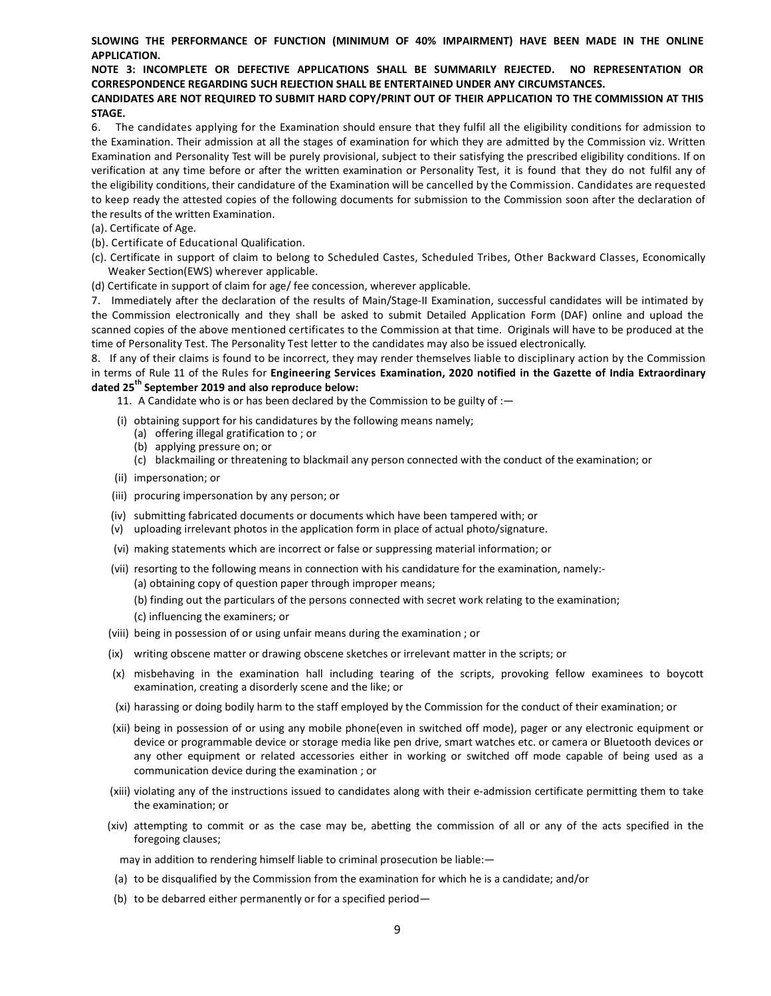#### **SLOWING THE PERFORMANCE OF FUNCTION (MINIMUM OF 40% IMPAIRMENT) HAVE BEEN MADE IN THE ONLINE APPLICATION.**

#### **NOTE 3: INCOMPLETE OR DEFECTIVE APPLICATIONS SHALL BE SUMMARILY REJECTED. NO REPRESENTATION OR CORRESPONDENCE REGARDING SUCH REJECTION SHALL BE ENTERTAINED UNDER ANY CIRCUMSTANCES.**

#### **CANDIDATES ARE NOT REQUIRED TO SUBMIT HARD COPY/PRINT OUT OF THEIR APPLICATION TO THE COMMISSION AT THIS STAGE.**

6. The candidates applying for the Examination should ensure that they fulfil all the eligibility conditions for admission to the Examination. Their admission at all the stages of examination for which they are admitted by the Commission viz. Written Examination and Personality Test will be purely provisional, subject to their satisfying the prescribed eligibility conditions. If on verification at any time before or after the written examination or Personality Test, it is found that they do not fulfil any of the eligibility conditions, their candidature of the Examination will be cancelled by the Commission. Candidates are requested to keep ready the attested copies of the following documents for submission to the Commission soon after the declaration of the results of the written Examination.

- (a). Certificate of Age.
- (b). Certificate of Educational Qualification.
- (c). Certificate in support of claim to belong to Scheduled Castes, Scheduled Tribes, Other Backward Classes, Economically Weaker Section(EWS) wherever applicable.
- (d) Certificate in support of claim for age/ fee concession, wherever applicable.

7. Immediately after the declaration of the results of Main/Stage-II Examination, successful candidates will be intimated by the Commission electronically and they shall be asked to submit Detailed Application Form (DAF) online and upload the scanned copies of the above mentioned certificates to the Commission at that time. Originals will have to be produced at the time of Personality Test. The Personality Test letter to the candidates may also be issued electronically.

8. If any of their claims is found to be incorrect, they may render themselves liable to disciplinary action by the Commission in terms of Rule 11 of the Rules for **Engineering Services Examination, 2020 notified in the Gazette of India Extraordinary dated 25th September 2019 and also reproduce below:** 

11. A Candidate who is or has been declared by the Commission to be guilty of :—

- (i) obtaining support for his candidatures by the following means namely;
	- (a) offering illegal gratification to ; or
	- (b) applying pressure on; or
	- (c) blackmailing or threatening to blackmail any person connected with the conduct of the examination; or
- (ii) impersonation; or
- (iii) procuring impersonation by any person; or
- (iv) submitting fabricated documents or documents which have been tampered with; or
- (v) uploading irrelevant photos in the application form in place of actual photo/signature.
- (vi) making statements which are incorrect or false or suppressing material information; or
- (vii) resorting to the following means in connection with his candidature for the examination, namely:-
	- (a) obtaining copy of question paper through improper means;
	- (b) finding out the particulars of the persons connected with secret work relating to the examination;
	- (c) influencing the examiners; or
- (viii) being in possession of or using unfair means during the examination ; or
- (ix) writing obscene matter or drawing obscene sketches or irrelevant matter in the scripts; or
- (x) misbehaving in the examination hall including tearing of the scripts, provoking fellow examinees to boycott examination, creating a disorderly scene and the like; or
- (xi) harassing or doing bodily harm to the staff employed by the Commission for the conduct of their examination; or
- (xii) being in possession of or using any mobile phone(even in switched off mode), pager or any electronic equipment or device or programmable device or storage media like pen drive, smart watches etc. or camera or Bluetooth devices or any other equipment or related accessories either in working or switched off mode capable of being used as a communication device during the examination ; or
- (xiii) violating any of the instructions issued to candidates along with their e-admission certificate permitting them to take the examination; or
- (xiv) attempting to commit or as the case may be, abetting the commission of all or any of the acts specified in the foregoing clauses;

may in addition to rendering himself liable to criminal prosecution be liable:—

- (a) to be disqualified by the Commission from the examination for which he is a candidate; and/or
- (b) to be debarred either permanently or for a specified period—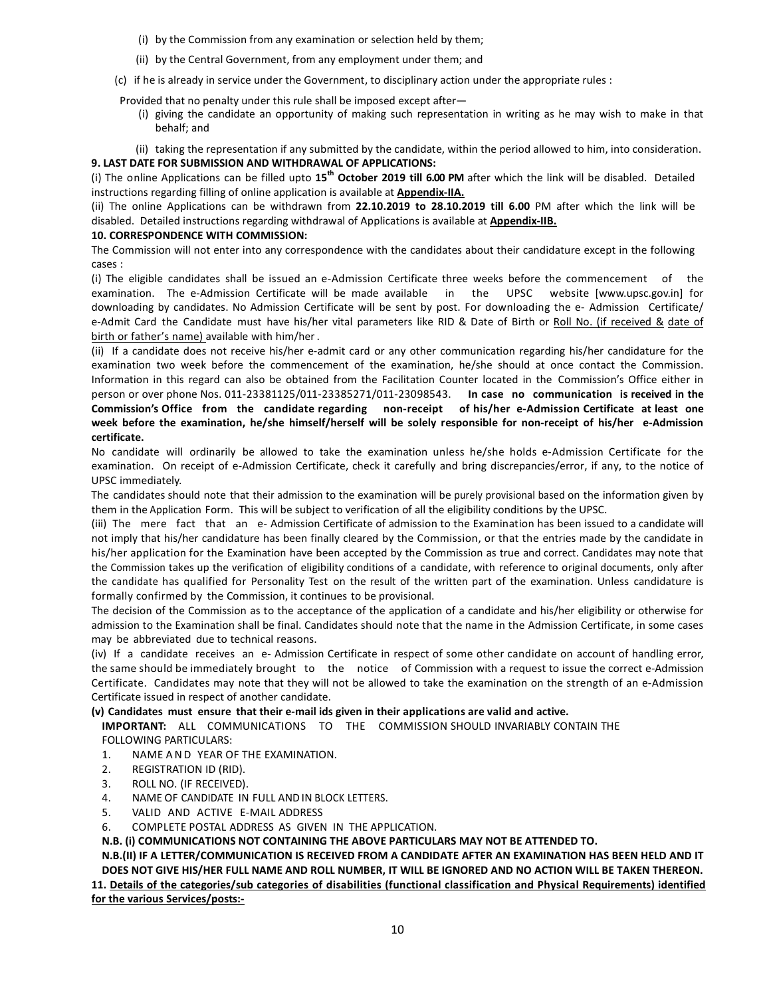- (i) by the Commission from any examination or selection held by them;
- (ii) by the Central Government, from any employment under them; and

(c) if he is already in service under the Government, to disciplinary action under the appropriate rules :

Provided that no penalty under this rule shall be imposed except after—

- (i) giving the candidate an opportunity of making such representation in writing as he may wish to make in that behalf; and
- (ii) taking the representation if any submitted by the candidate, within the period allowed to him, into consideration.

#### **9. LAST DATE FOR SUBMISSION AND WITHDRAWAL OF APPLICATIONS:**

(i) The online Applications can be filled upto **15th October 2019 till 6.00 PM** after which the link will be disabled. Detailed instructions regarding filling of online application is available at **Appendix-IIA.**

(ii) The online Applications can be withdrawn from **22.10.2019 to 28.10.2019 till 6.00** PM after which the link will be disabled. Detailed instructions regarding withdrawal of Applications is available at **Appendix-IIB.**

#### **10. CORRESPONDENCE WITH COMMISSION:**

The Commission will not enter into any correspondence with the candidates about their candidature except in the following cases :

(i) The eligible candidates shall be issued an e-Admission Certificate three weeks before the commencement of the examination. The e-Admission Certificate will be made available in the UPSC website [www.upsc.gov.in] for downloading by candidates. No Admission Certificate will be sent by post. For downloading the e- Admission Certificate/ e-Admit Card the Candidate must have his/her vital parameters like RID & Date of Birth or Roll No. (if received & date of birth or father's name) available with him/her .

(ii) If a candidate does not receive his/her e-admit card or any other communication regarding his/her candidature for the examination two week before the commencement of the examination, he/she should at once contact the Commission. Information in this regard can also be obtained from the Facilitation Counter located in the Commission's Office either in person or over phone Nos. 011-23381125/011-23385271/011-23098543. **In case no communication is received in the Commission's Office from the candidate regarding non-receipt of his/her e-Admission Certificate at least one week before the examination, he/she himself/herself will be solely responsible for non-receipt of his/her e-Admission certificate.** 

No candidate will ordinarily be allowed to take the examination unless he/she holds e-Admission Certificate for the examination. On receipt of e-Admission Certificate, check it carefully and bring discrepancies/error, if any, to the notice of UPSC immediately.

The candidates should note that their admission to the examination will be purely provisional based on the information given by them in the Application Form. This will be subject to verification of all the eligibility conditions by the UPSC.

(iii) The mere fact that an e- Admission Certificate of admission to the Examination has been issued to a candidate will not imply that his/her candidature has been finally cleared by the Commission, or that the entries made by the candidate in his/her application for the Examination have been accepted by the Commission as true and correct. Candidates may note that the Commission takes up the verification of eligibility conditions of a candidate, with reference to original documents, only after the candidate has qualified for Personality Test on the result of the written part of the examination. Unless candidature is formally confirmed by the Commission, it continues to be provisional.

The decision of the Commission as to the acceptance of the application of a candidate and his/her eligibility or otherwise for admission to the Examination shall be final. Candidates should note that the name in the Admission Certificate, in some cases may be abbreviated due to technical reasons.

(iv) If a candidate receives an e- Admission Certificate in respect of some other candidate on account of handling error, the same should be immediately brought to the notice of Commission with a request to issue the correct e-Admission Certificate. Candidates may note that they will not be allowed to take the examination on the strength of an e-Admission Certificate issued in respect of another candidate.

#### **(v) Candidates must ensure that their e-mail ids given in their applications are valid and active.**

**IMPORTANT:** ALL COMMUNICATIONS TO THE COMMISSION SHOULD INVARIABLY CONTAIN THE FOLLOWING PARTICULARS:

- 1. NAME AND YEAR OF THE EXAMINATION.
- 2. REGISTRATION ID (RID).
- 3. ROLL NO. (IF RECEIVED).
- 4. NAME OF CANDIDATE IN FULL AND IN BLOCK LETTERS.
- 5. VALID AND ACTIVE E-MAIL ADDRESS
- 6. COMPLETE POSTAL ADDRESS AS GIVEN IN THE APPLICATION.

**N.B. (i) COMMUNICATIONS NOT CONTAINING THE ABOVE PARTICULARS MAY NOT BE ATTENDED TO.** 

**N.B.(II) IF A LETTER/COMMUNICATION IS RECEIVED FROM A CANDIDATE AFTER AN EXAMINATION HAS BEEN HELD AND IT DOES NOT GIVE HIS/HER FULL NAME AND ROLL NUMBER, IT WILL BE IGNORED AND NO ACTION WILL BE TAKEN THEREON. 11. Details of the categories/sub categories of disabilities (functional classification and Physical Requirements) identified** 

**for the various Services/posts:-**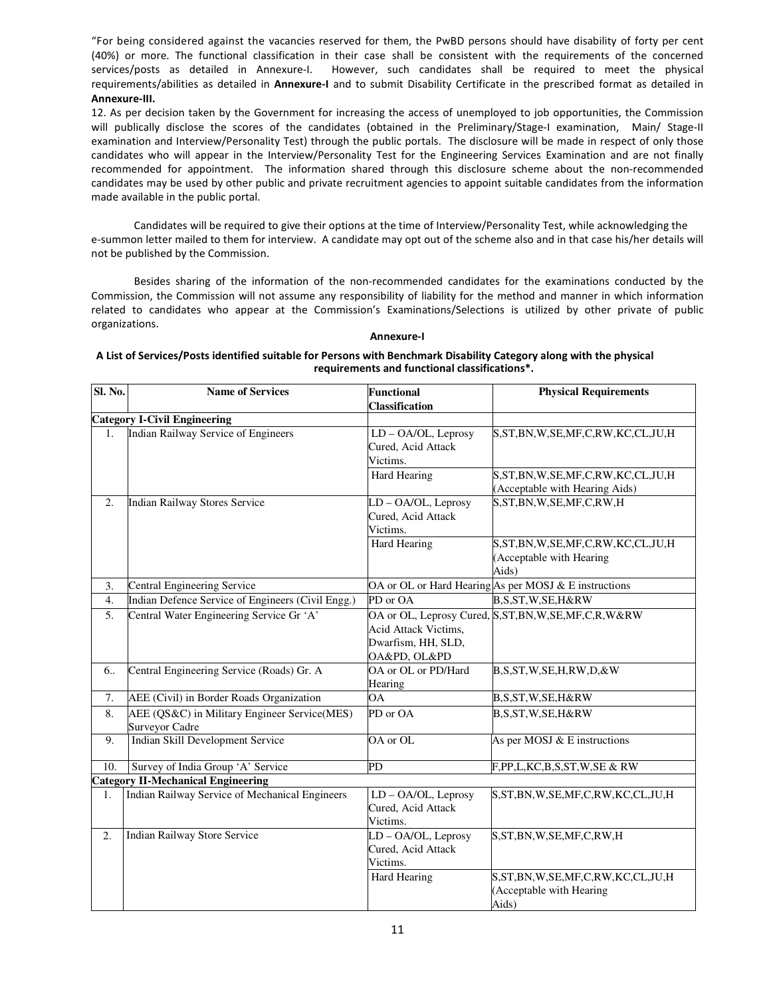"For being considered against the vacancies reserved for them, the PwBD persons should have disability of forty per cent (40%) or more. The functional classification in their case shall be consistent with the requirements of the concerned services/posts as detailed in Annexure-I. However, such candidates shall be required to meet the physical requirements/abilities as detailed in **Annexure-I** and to submit Disability Certificate in the prescribed format as detailed in **Annexure-III.** 

12. As per decision taken by the Government for increasing the access of unemployed to job opportunities, the Commission will publically disclose the scores of the candidates (obtained in the Preliminary/Stage-I examination, Main/ Stage-II examination and Interview/Personality Test) through the public portals. The disclosure will be made in respect of only those candidates who will appear in the Interview/Personality Test for the Engineering Services Examination and are not finally recommended for appointment. The information shared through this disclosure scheme about the non-recommended candidates may be used by other public and private recruitment agencies to appoint suitable candidates from the information made available in the public portal.

Candidates will be required to give their options at the time of Interview/Personality Test, while acknowledging the e-summon letter mailed to them for interview. A candidate may opt out of the scheme also and in that case his/her details will not be published by the Commission.

 Besides sharing of the information of the non-recommended candidates for the examinations conducted by the Commission, the Commission will not assume any responsibility of liability for the method and manner in which information related to candidates who appear at the Commission's Examinations/Selections is utilized by other private of public organizations.

#### **Annexure-I**

#### **A List of Services/Posts identified suitable for Persons with Benchmark Disability Category along with the physical requirements and functional classifications\*.**

| Sl. No.          | <b>Name of Services</b>                                        | <b>Functional</b><br><b>Classification</b>                          | <b>Physical Requirements</b>                                                    |  |  |
|------------------|----------------------------------------------------------------|---------------------------------------------------------------------|---------------------------------------------------------------------------------|--|--|
|                  | <b>Category I-Civil Engineering</b>                            |                                                                     |                                                                                 |  |  |
| 1.               | <b>Indian Railway Service of Engineers</b>                     | LD - OA/OL, Leprosy<br>Cured, Acid Attack<br>Victims.               | S,ST,BN,W,SE,MF,C,RW,KC,CL,JU,H                                                 |  |  |
|                  |                                                                | <b>Hard Hearing</b>                                                 | S, ST, BN, W, SE, MF, C, RW, KC, CL, JU, H<br>(Acceptable with Hearing Aids)    |  |  |
| 2.               | <b>Indian Railway Stores Service</b>                           | LD-OA/OL, Leprosy<br>Cured, Acid Attack<br>Victims.                 | S, ST, BN, W, SE, MF, C, RW, H                                                  |  |  |
|                  |                                                                | <b>Hard Hearing</b>                                                 | S, ST, BN, W, SE, MF, C, RW, KC, CL, JU, H<br>(Acceptable with Hearing<br>Aids) |  |  |
| 3.               | Central Engineering Service                                    |                                                                     | OA or OL or Hard Hearing As per MOSJ & E instructions                           |  |  |
| 4.               | Indian Defence Service of Engineers (Civil Engg.)              | PD or OA                                                            | B,S,ST,W,SE,H&RW                                                                |  |  |
| 5.               | Central Water Engineering Service Gr 'A'                       | Acid Attack Victims,<br>Dwarfism, HH, SLD,<br>OA&PD, OL&PD          | OA or OL, Leprosy Cured, S, ST, BN, W, SE, MF, C, R, W&RW                       |  |  |
| 6                | Central Engineering Service (Roads) Gr. A                      | OA or OL or PD/Hard<br>Hearing                                      | B,S,ST,W,SE,H,RW,D,&W                                                           |  |  |
| 7.               | AEE (Civil) in Border Roads Organization                       | ΟA                                                                  | B,S,ST,W,SE,H&RW                                                                |  |  |
| 8.               | AEE (QS&C) in Military Engineer Service(MES)<br>Surveyor Cadre | PD or OA                                                            | B,S,ST,W,SE,H&RW                                                                |  |  |
| 9.               | Indian Skill Development Service                               | OA or OL                                                            | As per MOSJ & E instructions                                                    |  |  |
| 10.              | Survey of India Group 'A' Service                              | PD                                                                  | F,PP,L,KC,B,S,ST,W,SE & RW                                                      |  |  |
|                  | <b>Category II-Mechanical Engineering</b>                      |                                                                     |                                                                                 |  |  |
| 1.               | Indian Railway Service of Mechanical Engineers                 | LD - OA/OL, Leprosy<br>Cured, Acid Attack<br>Victims.               | S,ST,BN,W,SE,MF,C,RW,KC,CL,JU,H                                                 |  |  |
| $\overline{2}$ . | Indian Railway Store Service                                   | LD-OA/OL, Leprosy<br>Cured, Acid Attack<br>Victims.<br>Hard Hearing | S, ST, BN, W, SE, MF, C, RW, H<br>S, ST, BN, W, SE, MF, C, RW, KC, CL, JU, H    |  |  |
|                  |                                                                |                                                                     | (Acceptable with Hearing<br>Aids)                                               |  |  |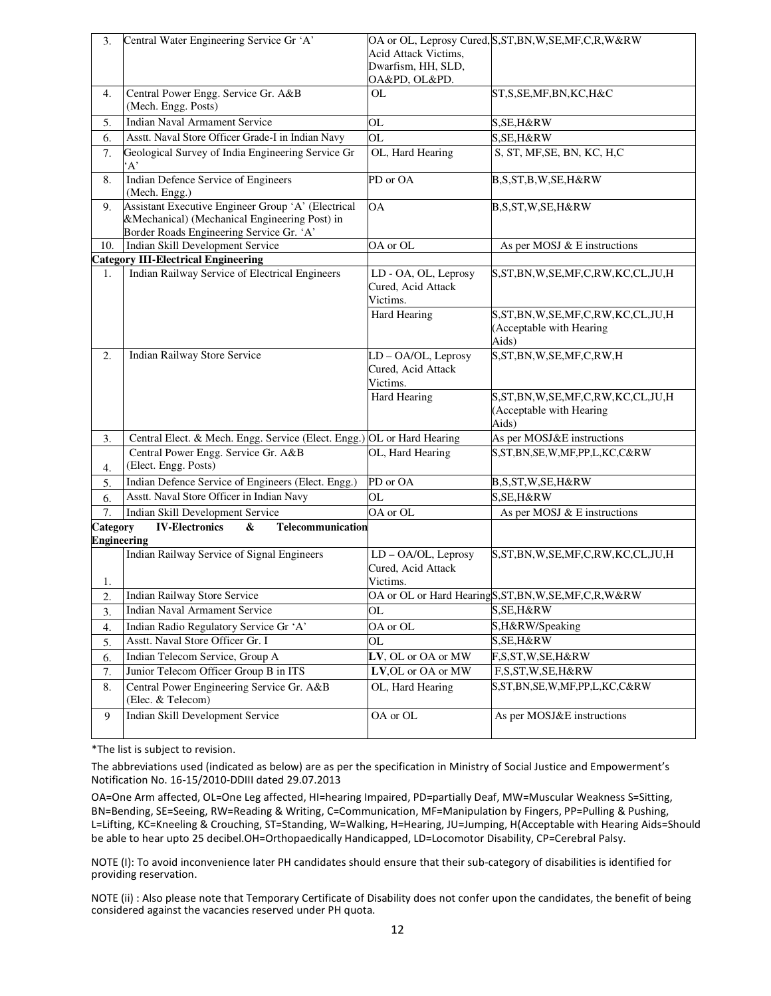| 3.                 | Central Water Engineering Service Gr 'A'                                                                                                        | Acid Attack Victims,<br>Dwarfism, HH, SLD,<br>OA&PD, OL&PD. | OA or OL, Leprosy Cured, S, ST, BN, W, SE, MF, C, R, W&RW                       |
|--------------------|-------------------------------------------------------------------------------------------------------------------------------------------------|-------------------------------------------------------------|---------------------------------------------------------------------------------|
| 4.                 | Central Power Engg. Service Gr. A&B<br>(Mech. Engg. Posts)                                                                                      | <b>OL</b>                                                   | ST,S,SE,MF,BN,KC,H&C                                                            |
| 5.                 | <b>Indian Naval Armament Service</b>                                                                                                            | OL                                                          | S, SE, H&RW                                                                     |
| 6.                 | Asstt. Naval Store Officer Grade-I in Indian Navy                                                                                               | OL                                                          | S, SE, H&RW                                                                     |
| 7.                 | Geological Survey of India Engineering Service Gr<br>$A^{\prime}$                                                                               | OL, Hard Hearing                                            | S, ST, MF, SE, BN, KC, H, C                                                     |
| 8.                 | Indian Defence Service of Engineers<br>(Mech. Engg.)                                                                                            | PD or OA                                                    | B,S,ST,B,W,SE,H&RW                                                              |
| 9.                 | Assistant Executive Engineer Group 'A' (Electrical<br>&Mechanical) (Mechanical Engineering Post) in<br>Border Roads Engineering Service Gr. 'A' | <b>OA</b>                                                   | B,S,ST,W,SE,H&RW                                                                |
| 10.                | Indian Skill Development Service                                                                                                                | OA or OL                                                    | As per MOSJ & E instructions                                                    |
|                    | <b>Category III-Electrical Engineering</b>                                                                                                      |                                                             |                                                                                 |
| 1.                 | Indian Railway Service of Electrical Engineers                                                                                                  | LD - OA, OL, Leprosy<br>Cured, Acid Attack<br>Victims.      | S, ST, BN, W, SE, MF, C, RW, KC, CL, JU, H                                      |
|                    |                                                                                                                                                 | Hard Hearing                                                | S, ST, BN, W, SE, MF, C, RW, KC, CL, JU, H<br>(Acceptable with Hearing<br>Aids) |
| 2.                 | <b>Indian Railway Store Service</b>                                                                                                             | LD - OA/OL, Leprosy<br>Cured, Acid Attack<br>Victims.       | S, ST, BN, W, SE, MF, C, RW, H                                                  |
|                    |                                                                                                                                                 | <b>Hard Hearing</b>                                         | S, ST, BN, W, SE, MF, C, RW, KC, CL, JU, H<br>(Acceptable with Hearing<br>Aids) |
| 3.                 | Central Elect. & Mech. Engg. Service (Elect. Engg.) OL or Hard Hearing                                                                          |                                                             | As per MOSJ&E instructions                                                      |
| 4.                 | Central Power Engg. Service Gr. A&B<br>(Elect. Engg. Posts)                                                                                     | OL, Hard Hearing                                            | S,ST,BN,SE,W,MF,PP,L,KC,C&RW                                                    |
| 5.                 | Indian Defence Service of Engineers (Elect. Engg.)                                                                                              | PD or OA                                                    | B,S,ST,W,SE,H&RW                                                                |
| 6.                 | Asstt. Naval Store Officer in Indian Navy                                                                                                       | OL                                                          | S, SE, H&RW                                                                     |
| 7.                 | Indian Skill Development Service                                                                                                                | OA or OL                                                    | As per MOSJ & E instructions                                                    |
| Category           | <b>IV-Electronics</b><br>&<br>Telecommunication                                                                                                 |                                                             |                                                                                 |
| <b>Engineering</b> |                                                                                                                                                 |                                                             |                                                                                 |
|                    | Indian Railway Service of Signal Engineers                                                                                                      | LD-OA/OL, Leprosy<br>Cured, Acid Attack                     | S, ST, BN, W, SE, MF, C, RW, KC, CL, JU, H                                      |
| 1.                 |                                                                                                                                                 | Victims.                                                    |                                                                                 |
| 2.                 | <b>Indian Railway Store Service</b>                                                                                                             |                                                             | OA or OL or Hard HearingS, ST, BN, W, SE, MF, C, R, W&RW                        |
| 3.                 | Indian Naval Armament Service                                                                                                                   | OL                                                          | S, SE, H&RW                                                                     |
| 4.                 | Indian Radio Regulatory Service Gr 'A'                                                                                                          | OA or OL                                                    | S,H&RW/Speaking                                                                 |
| 5.                 | Asstt. Naval Store Officer Gr. I                                                                                                                | OL                                                          | S, SE, H&RW                                                                     |
| 6.                 | Indian Telecom Service, Group A                                                                                                                 | LV, OL or OA or MW                                          | F,S,ST,W,SE,H&RW                                                                |
| 7.                 | Junior Telecom Officer Group B in ITS                                                                                                           | LV, OL or OA or MW                                          | F,S,ST,W,SE,H&RW                                                                |
| 8.                 | Central Power Engineering Service Gr. A&B<br>(Elec. & Telecom)                                                                                  | OL, Hard Hearing                                            | S,ST,BN,SE,W,MF,PP,L,KC,C&RW                                                    |
| 9                  | Indian Skill Development Service                                                                                                                | OA or OL                                                    | As per MOSJ&E instructions                                                      |

\*The list is subject to revision.

The abbreviations used (indicated as below) are as per the specification in Ministry of Social Justice and Empowerment's Notification No. 16-15/2010-DDIII dated 29.07.2013

OA=One Arm affected, OL=One Leg affected, HI=hearing Impaired, PD=partially Deaf, MW=Muscular Weakness S=Sitting, BN=Bending, SE=Seeing, RW=Reading & Writing, C=Communication, MF=Manipulation by Fingers, PP=Pulling & Pushing, L=Lifting, KC=Kneeling & Crouching, ST=Standing, W=Walking, H=Hearing, JU=Jumping, H(Acceptable with Hearing Aids=Should be able to hear upto 25 decibel.OH=Orthopaedically Handicapped, LD=Locomotor Disability, CP=Cerebral Palsy.

NOTE (I): To avoid inconvenience later PH candidates should ensure that their sub-category of disabilities is identified for providing reservation.

NOTE (ii) : Also please note that Temporary Certificate of Disability does not confer upon the candidates, the benefit of being considered against the vacancies reserved under PH quota.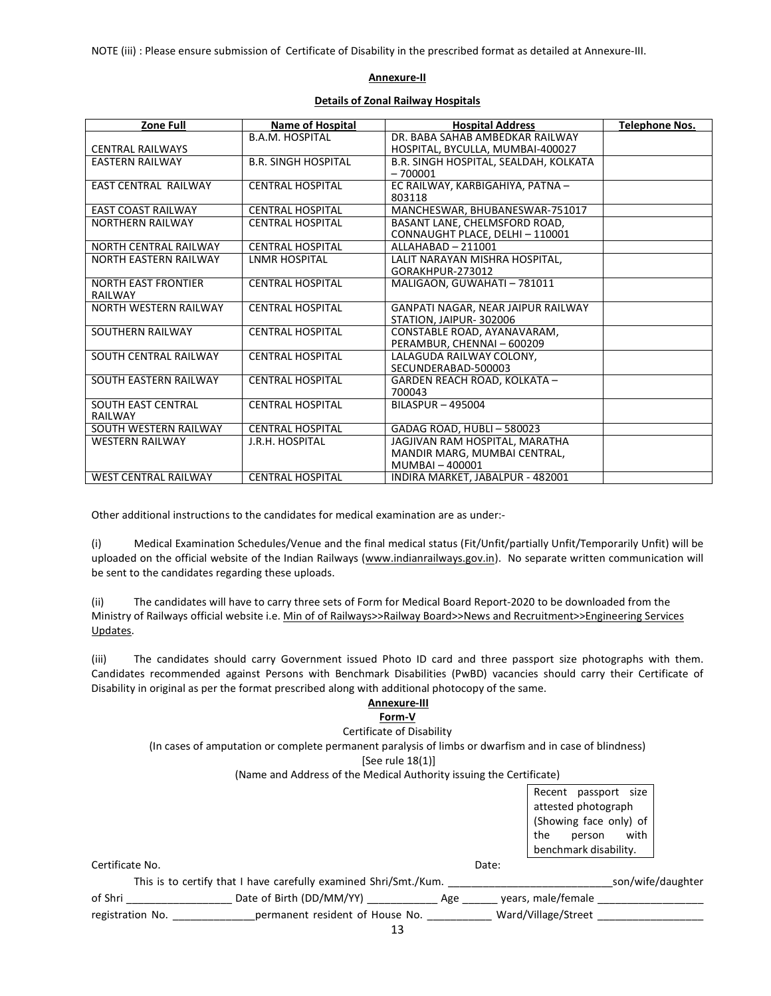NOTE (iii) : Please ensure submission of Certificate of Disability in the prescribed format as detailed at Annexure-III.

#### **Annexure-II**

#### **Details of Zonal Railway Hospitals**

| Zone Full                   | <b>Name of Hospital</b>    | <b>Hospital Address</b>               | <b>Telephone Nos.</b> |
|-----------------------------|----------------------------|---------------------------------------|-----------------------|
|                             | <b>B.A.M. HOSPITAL</b>     | DR. BABA SAHAB AMBEDKAR RAILWAY       |                       |
| <b>CENTRAL RAILWAYS</b>     |                            | HOSPITAL, BYCULLA, MUMBAI-400027      |                       |
| EASTERN RAILWAY             | <b>B.R. SINGH HOSPITAL</b> | B.R. SINGH HOSPITAL, SEALDAH, KOLKATA |                       |
|                             |                            | $-700001$                             |                       |
| <b>EAST CENTRAL RAILWAY</b> | <b>CENTRAL HOSPITAL</b>    | EC RAILWAY, KARBIGAHIYA, PATNA -      |                       |
|                             |                            | 803118                                |                       |
| <b>EAST COAST RAILWAY</b>   | <b>CENTRAL HOSPITAL</b>    | MANCHESWAR, BHUBANESWAR-751017        |                       |
| <b>NORTHERN RAILWAY</b>     | <b>CENTRAL HOSPITAL</b>    | BASANT LANE, CHELMSFORD ROAD,         |                       |
|                             |                            | CONNAUGHT PLACE, DELHI - 110001       |                       |
| NORTH CENTRAL RAILWAY       | <b>CENTRAL HOSPITAL</b>    | ALLAHABAD - 211001                    |                       |
| NORTH EASTERN RAILWAY       | <b>LNMR HOSPITAL</b>       | LALIT NARAYAN MISHRA HOSPITAL,        |                       |
|                             |                            | GORAKHPUR-273012                      |                       |
| <b>NORTH EAST FRONTIER</b>  | <b>CENTRAL HOSPITAL</b>    | MALIGAON, GUWAHATI - 781011           |                       |
| RAILWAY                     |                            |                                       |                       |
| NORTH WESTERN RAILWAY       | <b>CENTRAL HOSPITAL</b>    | GANPATI NAGAR, NEAR JAIPUR RAILWAY    |                       |
|                             |                            | STATION, JAIPUR-302006                |                       |
| SOUTHERN RAILWAY            | <b>CENTRAL HOSPITAL</b>    | CONSTABLE ROAD, AYANAVARAM,           |                       |
|                             |                            | PERAMBUR, CHENNAI - 600209            |                       |
| SOUTH CENTRAL RAILWAY       | <b>CENTRAL HOSPITAL</b>    | LALAGUDA RAILWAY COLONY.              |                       |
|                             |                            | SECUNDERABAD-500003                   |                       |
| SOUTH EASTERN RAILWAY       | <b>CENTRAL HOSPITAL</b>    | GARDEN REACH ROAD, KOLKATA -          |                       |
|                             |                            | 700043                                |                       |
| <b>SOUTH EAST CENTRAL</b>   | <b>CENTRAL HOSPITAL</b>    | <b>BILASPUR - 495004</b>              |                       |
| <b>RAILWAY</b>              |                            |                                       |                       |
| SOUTH WESTERN RAILWAY       | <b>CENTRAL HOSPITAL</b>    | GADAG ROAD, HUBLI-580023              |                       |
| <b>WESTERN RAILWAY</b>      | J.R.H. HOSPITAL            | JAGJIVAN RAM HOSPITAL, MARATHA        |                       |
|                             |                            | MANDIR MARG, MUMBAI CENTRAL,          |                       |
|                             |                            | MUMBAI - 400001                       |                       |
| <b>WEST CENTRAL RAILWAY</b> | <b>CENTRAL HOSPITAL</b>    | INDIRA MARKET, JABALPUR - 482001      |                       |

Other additional instructions to the candidates for medical examination are as under:-

(i) Medical Examination Schedules/Venue and the final medical status (Fit/Unfit/partially Unfit/Temporarily Unfit) will be uploaded on the official website of the Indian Railways (www.indianrailways.gov.in). No separate written communication will be sent to the candidates regarding these uploads.

(ii) The candidates will have to carry three sets of Form for Medical Board Report-2020 to be downloaded from the Ministry of Railways official website i.e. Min of of Railways>>Railway Board>>News and Recruitment>>Engineering Services Updates.

(iii) The candidates should carry Government issued Photo ID card and three passport size photographs with them. Candidates recommended against Persons with Benchmark Disabilities (PwBD) vacancies should carry their Certificate of Disability in original as per the format prescribed along with additional photocopy of the same.

#### **Annexure-III**

#### **Form-V**

Certificate of Disability (In cases of amputation or complete permanent paralysis of limbs or dwarfism and in case of blindness) [See rule 18(1)] (Name and Address of the Medical Authority issuing the Certificate) Recent passport size attested photograph (Showing face only) of the person with benchmark disability. Certificate No. Date: This is to certify that I have carefully examined Shri/Smt./Kum. This is to certify that I have carefully examined Shri/Smt./Kum.

| of Shri | Date of Birth (DD/MM/YY) | Age | vears, male/female |  |
|---------|--------------------------|-----|--------------------|--|

registration No. \_\_\_\_\_\_\_\_\_\_\_\_\_\_\_\_\_\_\_permanent resident of House No. \_\_\_\_\_\_\_\_\_\_\_\_\_ Ward/Village/Street \_\_\_\_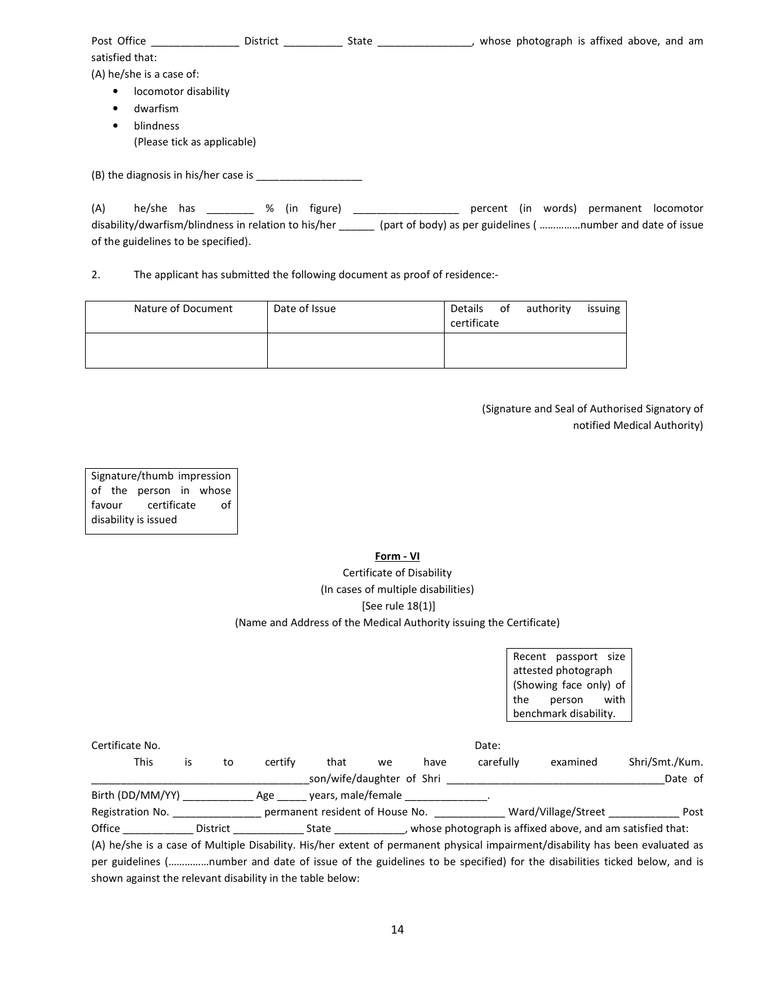| Post Office                          | District | State | whose photograph is affixed above, and am |
|--------------------------------------|----------|-------|-------------------------------------------|
| satisfied that:                      |          |       |                                           |
| (A) he/she is a case of:             |          |       |                                           |
| locomotor disability<br>$\bullet$    |          |       |                                           |
| dwarfism<br>$\bullet$                |          |       |                                           |
| blindness<br>٠                       |          |       |                                           |
| (Please tick as applicable)          |          |       |                                           |
|                                      |          |       |                                           |
| (B) the diagnosis in his/her case is |          |       |                                           |
|                                      |          |       |                                           |

| (A) | he/she has |                                                      |  | % (in figure) |                                                             |  | percent (in words) permanent locomotor |  |
|-----|------------|------------------------------------------------------|--|---------------|-------------------------------------------------------------|--|----------------------------------------|--|
|     |            | disability/dwarfism/blindness in relation to his/her |  |               | (part of body) as per guidelines ( number and date of issue |  |                                        |  |
|     |            | of the guidelines to be specified).                  |  |               |                                                             |  |                                        |  |

2. The applicant has submitted the following document as proof of residence:-

| Nature of Document | Date of Issue | Details<br>certificate | of | authority | issuing |
|--------------------|---------------|------------------------|----|-----------|---------|
|                    |               |                        |    |           |         |

(Signature and Seal of Authorised Signatory of notified Medical Authority)

Signature/thumb impression of the person in whose favour certificate of disability is issued

> **Form - VI** Certificate of Disability (In cases of multiple disabilities) [See rule 18(1)] (Name and Address of the Medical Authority issuing the Certificate)

> > Recent passport size attested photograph (Showing face only) of the person with benchmark disability.

| Certificate No.  |    |                 |         |                                 |    |      | Date:     |                                                           |                |
|------------------|----|-----------------|---------|---------------------------------|----|------|-----------|-----------------------------------------------------------|----------------|
| This             | İS | to              | certify | that                            | we | have | carefully | examined                                                  | Shri/Smt./Kum. |
|                  |    |                 |         | son/wife/daughter of Shri       |    |      |           |                                                           | Date of        |
| Birth (DD/MM/YY) |    |                 | Age     | years, male/female              |    |      |           |                                                           |                |
| Registration No. |    |                 |         | permanent resident of House No. |    |      |           | Ward/Village/Street                                       | Post           |
| Office           |    | <b>District</b> |         | State                           |    |      |           | whose photograph is affixed above, and am satisfied that: |                |

(A) he/she is a case of Multiple Disability. His/her extent of permanent physical impairment/disability has been evaluated as per guidelines (……………number and date of issue of the guidelines to be specified) for the disabilities ticked below, and is shown against the relevant disability in the table below: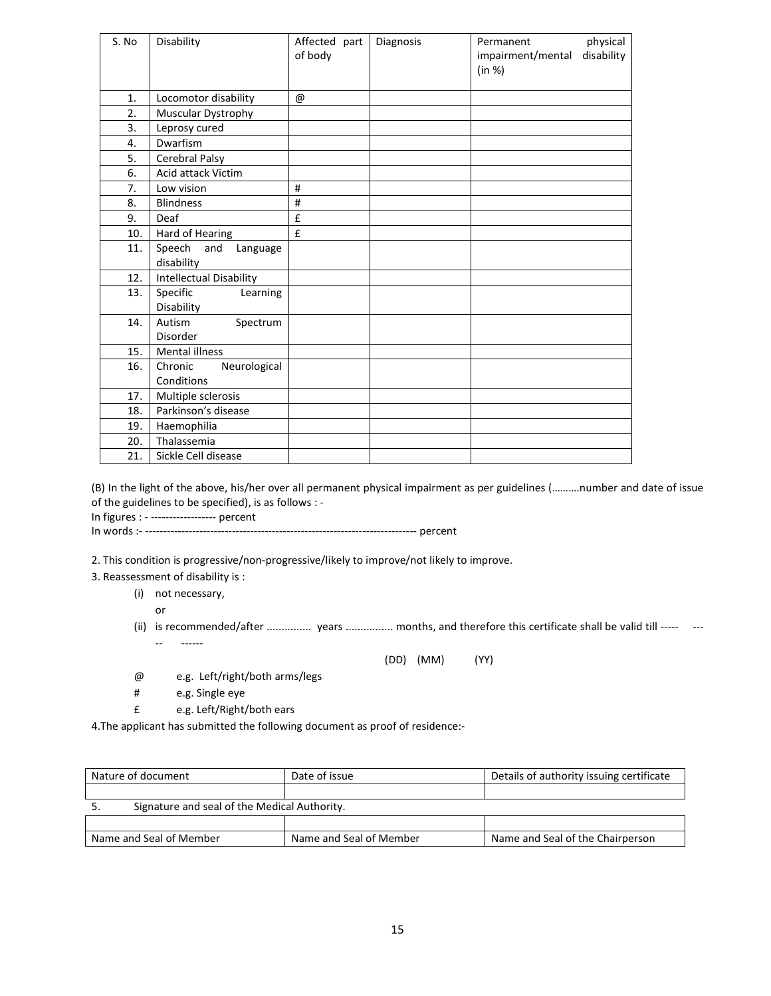| S. No | Disability                              | Affected part<br>of body | Diagnosis | Permanent<br>impairment/mental<br>(in %) | physical<br>disability |
|-------|-----------------------------------------|--------------------------|-----------|------------------------------------------|------------------------|
| 1.    | Locomotor disability                    | @                        |           |                                          |                        |
| 2.    | Muscular Dystrophy                      |                          |           |                                          |                        |
| 3.    | Leprosy cured                           |                          |           |                                          |                        |
| 4.    | Dwarfism                                |                          |           |                                          |                        |
| 5.    | Cerebral Palsy                          |                          |           |                                          |                        |
| 6.    | Acid attack Victim                      |                          |           |                                          |                        |
| 7.    | Low vision                              | #                        |           |                                          |                        |
| 8.    | <b>Blindness</b>                        | #                        |           |                                          |                        |
| 9.    | Deaf                                    | £                        |           |                                          |                        |
| 10.   | Hard of Hearing                         | £                        |           |                                          |                        |
| 11.   | Speech<br>and<br>Language<br>disability |                          |           |                                          |                        |
| 12.   | Intellectual Disability                 |                          |           |                                          |                        |
| 13.   | Specific<br>Learning<br>Disability      |                          |           |                                          |                        |
| 14.   | Autism<br>Spectrum<br><b>Disorder</b>   |                          |           |                                          |                        |
| 15.   | <b>Mental illness</b>                   |                          |           |                                          |                        |
| 16.   | Chronic<br>Neurological<br>Conditions   |                          |           |                                          |                        |
| 17.   | Multiple sclerosis                      |                          |           |                                          |                        |
| 18.   | Parkinson's disease                     |                          |           |                                          |                        |
| 19.   | Haemophilia                             |                          |           |                                          |                        |
| 20.   | Thalassemia                             |                          |           |                                          |                        |
| 21.   | Sickle Cell disease                     |                          |           |                                          |                        |

(B) In the light of the above, his/her over all permanent physical impairment as per guidelines (……….number and date of issue of the guidelines to be specified), is as follows : -

In figures : - ------------------ percent

In words :- --------------------------------------------------------------------------- percent

2. This condition is progressive/non-progressive/likely to improve/not likely to improve.

3. Reassessment of disability is :

(i) not necessary,

or

(ii) is recommended/after ................ years ................ months, and therefore this certificate shall be valid till ----- ----- ------

(DD) (MM) (YY)

- @ e.g. Left/right/both arms/legs
- # e.g. Single eye
- £ e.g. Left/Right/both ears

4.The applicant has submitted the following document as proof of residence:-

| Nature of document                                 | Date of issue           | Details of authority issuing certificate |
|----------------------------------------------------|-------------------------|------------------------------------------|
|                                                    |                         |                                          |
| Signature and seal of the Medical Authority.<br>J. |                         |                                          |
|                                                    |                         |                                          |
| Name and Seal of Member                            | Name and Seal of Member | Name and Seal of the Chairperson         |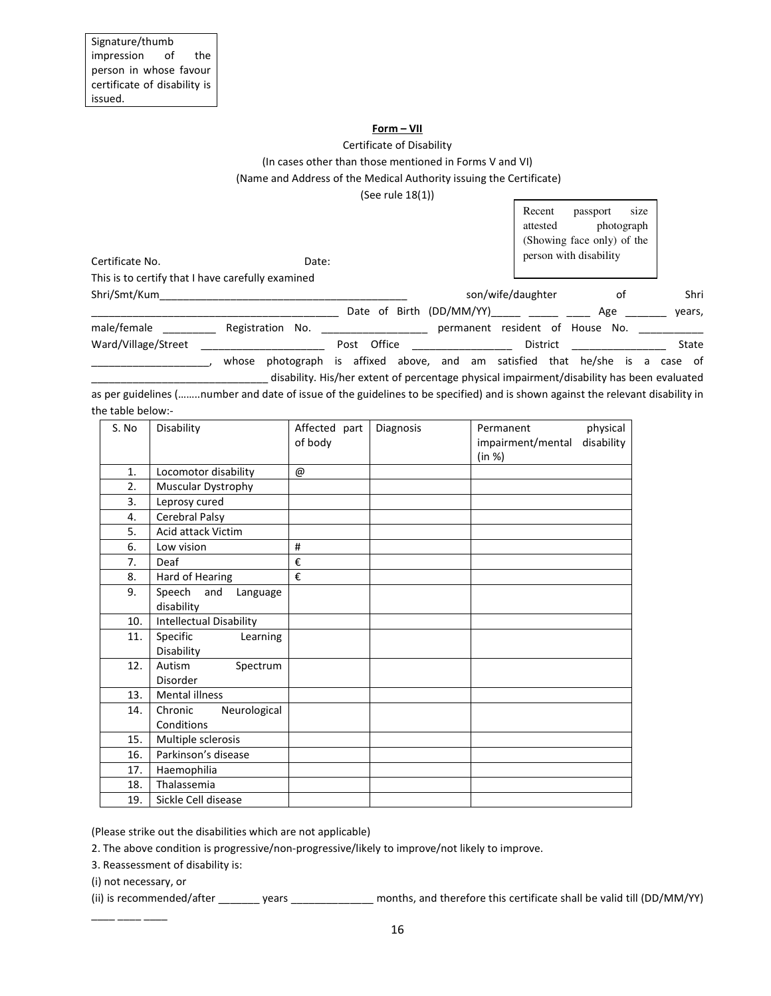#### **Form – VII**

#### Certificate of Disability (In cases other than those mentioned in Forms V and VI) (Name and Address of the Medical Authority issuing the Certificate)

(See rule 18(1))

|                                                   |                     |                             |                          | Recent<br>attested | passport<br>photograph<br>(Showing face only) of the | size            |
|---------------------------------------------------|---------------------|-----------------------------|--------------------------|--------------------|------------------------------------------------------|-----------------|
| Certificate No.                                   | Date:               |                             |                          |                    | person with disability                               |                 |
| This is to certify that I have carefully examined |                     |                             |                          |                    |                                                      |                 |
| Shri/Smt/Kum                                      |                     |                             | son/wife/daughter        |                    | оf                                                   | Shri            |
|                                                   |                     |                             | Date of Birth (DD/MM/YY) |                    | Age                                                  | years,          |
| male/female                                       | Registration<br>No. |                             | permanent                |                    | resident of House No.                                |                 |
| Ward/Village/Street                               |                     | Office<br>Post              |                          | District           |                                                      | State           |
|                                                   | photograph<br>whose | affixed above, and am<br>is |                          | satisfied<br>that  | he/she<br>is                                         | of<br>a<br>case |

as per guidelines (……..number and date of issue of the guidelines to be specified) and is shown against the relevant disability in the table below:-

disability. His/her extent of percentage physical impairment/disability has been evaluated

| S. No | Disability                              | Affected part<br>of body  | Diagnosis | physical<br>Permanent<br>disability<br>impairment/mental<br>(in %) |
|-------|-----------------------------------------|---------------------------|-----------|--------------------------------------------------------------------|
| 1.    | Locomotor disability                    | $^\text{\textregistered}$ |           |                                                                    |
| 2.    | Muscular Dystrophy                      |                           |           |                                                                    |
| 3.    | Leprosy cured                           |                           |           |                                                                    |
| 4.    | Cerebral Palsy                          |                           |           |                                                                    |
| 5.    | Acid attack Victim                      |                           |           |                                                                    |
| 6.    | Low vision                              | #                         |           |                                                                    |
| 7.    | Deaf                                    | €                         |           |                                                                    |
| 8.    | Hard of Hearing                         | €                         |           |                                                                    |
| 9.    | Speech<br>and<br>Language<br>disability |                           |           |                                                                    |
| 10.   | <b>Intellectual Disability</b>          |                           |           |                                                                    |
| 11.   | Specific<br>Learning                    |                           |           |                                                                    |
|       | Disability                              |                           |           |                                                                    |
| 12.   | Autism<br>Spectrum                      |                           |           |                                                                    |
|       | Disorder                                |                           |           |                                                                    |
| 13.   | <b>Mental illness</b>                   |                           |           |                                                                    |
| 14.   | Neurological<br>Chronic                 |                           |           |                                                                    |
|       | Conditions                              |                           |           |                                                                    |
| 15.   | Multiple sclerosis                      |                           |           |                                                                    |
| 16.   | Parkinson's disease                     |                           |           |                                                                    |
| 17.   | Haemophilia                             |                           |           |                                                                    |
| 18.   | Thalassemia                             |                           |           |                                                                    |
| 19.   | Sickle Cell disease                     |                           |           |                                                                    |

(Please strike out the disabilities which are not applicable)

2. The above condition is progressive/non-progressive/likely to improve/not likely to improve.

3. Reassessment of disability is:

(i) not necessary, or

\_\_\_\_ \_\_\_\_ \_\_\_\_

(ii) is recommended/after \_\_\_\_\_\_\_ years \_\_\_\_\_\_\_\_\_\_\_\_\_\_ months, and therefore this certificate shall be valid till (DD/MM/YY)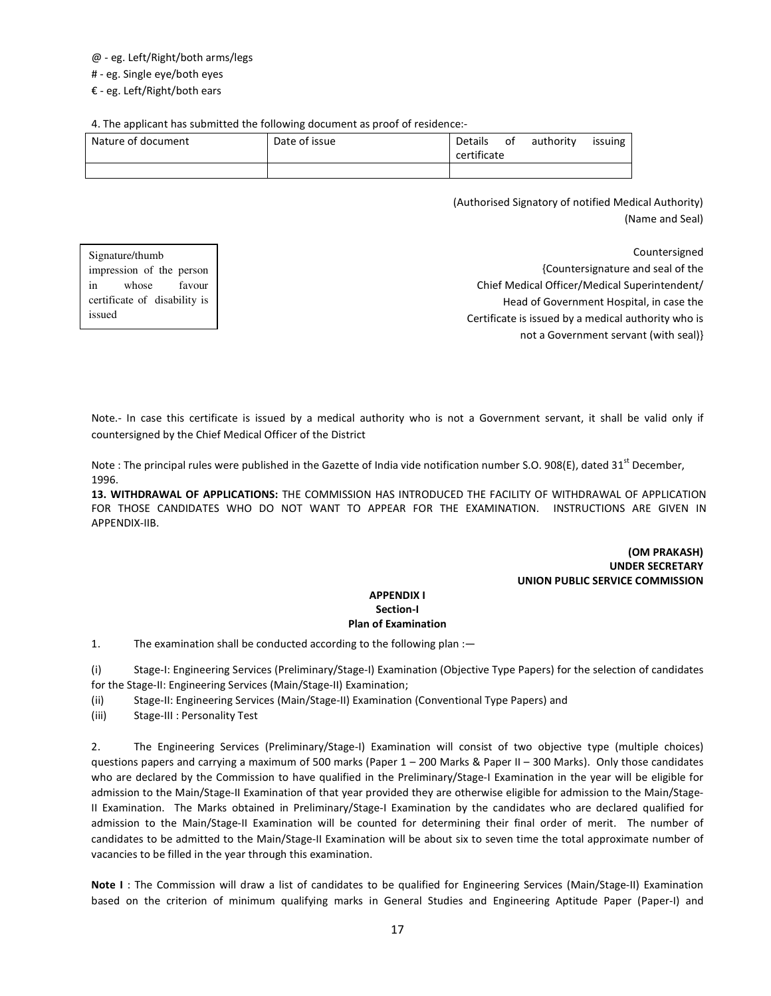#### @ - eg. Left/Right/both arms/legs

# - eg. Single eye/both eyes

€ - eg. Left/Right/both ears

4. The applicant has submitted the following document as proof of residence:-

| Nature of document | Date of issue | Details<br>certificate | ot | authority | issuing |
|--------------------|---------------|------------------------|----|-----------|---------|
|                    |               |                        |    |           |         |

(Authorised Signatory of notified Medical Authority) (Name and Seal)

| Signature/thumb              | Countersigned                                       |
|------------------------------|-----------------------------------------------------|
| impression of the person     | {Countersignature and seal of the                   |
| favour<br>whose<br>1n        | Chief Medical Officer/Medical Superintendent/       |
| certificate of disability is | Head of Government Hospital, in case the            |
| issued                       | Certificate is issued by a medical authority who is |
|                              | not a Government servant (with seal)}               |

Note.- In case this certificate is issued by a medical authority who is not a Government servant, it shall be valid only if countersigned by the Chief Medical Officer of the District

Note : The principal rules were published in the Gazette of India vide notification number S.O. 908(E), dated 31<sup>st</sup> December, 1996.

**13. WITHDRAWAL OF APPLICATIONS:** THE COMMISSION HAS INTRODUCED THE FACILITY OF WITHDRAWAL OF APPLICATION FOR THOSE CANDIDATES WHO DO NOT WANT TO APPEAR FOR THE EXAMINATION. INSTRUCTIONS ARE GIVEN IN APPENDIX-IIB.

#### **(OM PRAKASH) UNDER SECRETARY UNION PUBLIC SERVICE COMMISSION**

#### **APPENDIX I Section-I Plan of Examination**

1. The examination shall be conducted according to the following plan :—

(i) Stage-I: Engineering Services (Preliminary/Stage-I) Examination (Objective Type Papers) for the selection of candidates for the Stage-II: Engineering Services (Main/Stage-II) Examination;

(ii) Stage-II: Engineering Services (Main/Stage-II) Examination (Conventional Type Papers) and

(iii) Stage-III : Personality Test

2. The Engineering Services (Preliminary/Stage-I) Examination will consist of two objective type (multiple choices) questions papers and carrying a maximum of 500 marks (Paper 1 – 200 Marks & Paper II – 300 Marks). Only those candidates who are declared by the Commission to have qualified in the Preliminary/Stage-I Examination in the year will be eligible for admission to the Main/Stage-II Examination of that year provided they are otherwise eligible for admission to the Main/Stage-II Examination. The Marks obtained in Preliminary/Stage-I Examination by the candidates who are declared qualified for admission to the Main/Stage-II Examination will be counted for determining their final order of merit. The number of candidates to be admitted to the Main/Stage-II Examination will be about six to seven time the total approximate number of vacancies to be filled in the year through this examination.

**Note I** : The Commission will draw a list of candidates to be qualified for Engineering Services (Main/Stage-II) Examination based on the criterion of minimum qualifying marks in General Studies and Engineering Aptitude Paper (Paper-I) and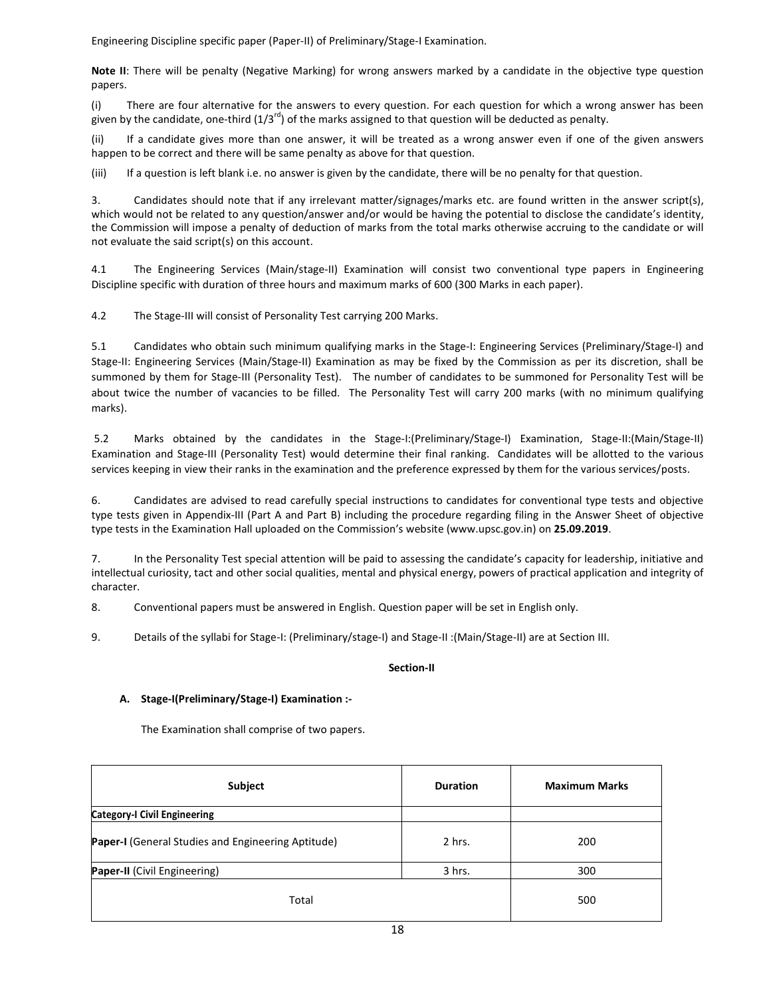Engineering Discipline specific paper (Paper-II) of Preliminary/Stage-I Examination.

**Note II**: There will be penalty (Negative Marking) for wrong answers marked by a candidate in the objective type question papers.

(i) There are four alternative for the answers to every question. For each question for which a wrong answer has been given by the candidate, one-third  $(1/3^{rd})$  of the marks assigned to that question will be deducted as penalty.

(ii) If a candidate gives more than one answer, it will be treated as a wrong answer even if one of the given answers happen to be correct and there will be same penalty as above for that question.

(iii) If a question is left blank i.e. no answer is given by the candidate, there will be no penalty for that question.

3. Candidates should note that if any irrelevant matter/signages/marks etc. are found written in the answer script(s), which would not be related to any question/answer and/or would be having the potential to disclose the candidate's identity, the Commission will impose a penalty of deduction of marks from the total marks otherwise accruing to the candidate or will not evaluate the said script(s) on this account.

4.1 The Engineering Services (Main/stage-II) Examination will consist two conventional type papers in Engineering Discipline specific with duration of three hours and maximum marks of 600 (300 Marks in each paper).

4.2 The Stage-III will consist of Personality Test carrying 200 Marks.

5.1 Candidates who obtain such minimum qualifying marks in the Stage-I: Engineering Services (Preliminary/Stage-I) and Stage-II: Engineering Services (Main/Stage-II) Examination as may be fixed by the Commission as per its discretion, shall be summoned by them for Stage-III (Personality Test). The number of candidates to be summoned for Personality Test will be about twice the number of vacancies to be filled. The Personality Test will carry 200 marks (with no minimum qualifying marks).

 5.2 Marks obtained by the candidates in the Stage-I:(Preliminary/Stage-I) Examination, Stage-II:(Main/Stage-II) Examination and Stage-III (Personality Test) would determine their final ranking. Candidates will be allotted to the various services keeping in view their ranks in the examination and the preference expressed by them for the various services/posts.

6. Candidates are advised to read carefully special instructions to candidates for conventional type tests and objective type tests given in Appendix-III (Part A and Part B) including the procedure regarding filing in the Answer Sheet of objective type tests in the Examination Hall uploaded on the Commission's website (www.upsc.gov.in) on **25.09.2019**.

7. In the Personality Test special attention will be paid to assessing the candidate's capacity for leadership, initiative and intellectual curiosity, tact and other social qualities, mental and physical energy, powers of practical application and integrity of character.

8. Conventional papers must be answered in English. Question paper will be set in English only.

9. Details of the syllabi for Stage-I: (Preliminary/stage-I) and Stage-II :(Main/Stage-II) are at Section III.

#### **Section-II**

#### **A. Stage-I(Preliminary/Stage-I) Examination :-**

The Examination shall comprise of two papers.

| Subject                                            | <b>Duration</b> | <b>Maximum Marks</b> |
|----------------------------------------------------|-----------------|----------------------|
| <b>Category-I Civil Engineering</b>                |                 |                      |
| Paper-I (General Studies and Engineering Aptitude) | 2 hrs.          | 200                  |
| Paper-II (Civil Engineering)                       | 3 hrs.          | 300                  |
| Total                                              |                 | 500                  |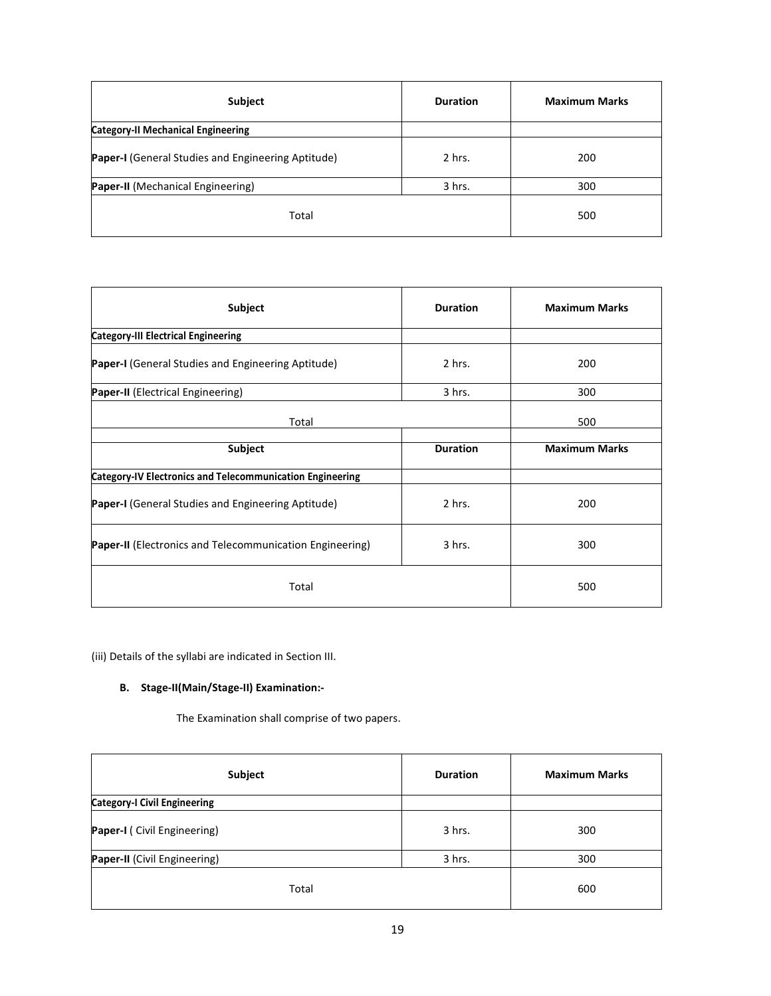| Subject                                            | <b>Duration</b> | <b>Maximum Marks</b> |
|----------------------------------------------------|-----------------|----------------------|
| <b>Category-II Mechanical Engineering</b>          |                 |                      |
| Paper-I (General Studies and Engineering Aptitude) | 2 hrs.          | 200                  |
| Paper-II (Mechanical Engineering)                  | 3 hrs.          | 300                  |
| Total                                              |                 | 500                  |

| Subject                                                          | <b>Duration</b> | <b>Maximum Marks</b> |
|------------------------------------------------------------------|-----------------|----------------------|
| <b>Category-III Electrical Engineering</b>                       |                 |                      |
| Paper-I (General Studies and Engineering Aptitude)               | 2 hrs.          | 200                  |
| <b>Paper-II</b> (Electrical Engineering)                         | 3 hrs.          | 300                  |
| Total                                                            |                 | 500                  |
| Subject                                                          | <b>Duration</b> | <b>Maximum Marks</b> |
| <b>Category-IV Electronics and Telecommunication Engineering</b> |                 |                      |
| <b>Paper-I</b> (General Studies and Engineering Aptitude)        | 2 hrs.          | 200                  |
| <b>Paper-II</b> (Electronics and Telecommunication Engineering)  | 3 hrs.          | 300                  |
| Total                                                            |                 | 500                  |

(iii) Details of the syllabi are indicated in Section III.

## **B. Stage-II(Main/Stage-II) Examination:-**

The Examination shall comprise of two papers.

| Subject                             | <b>Duration</b> | <b>Maximum Marks</b> |
|-------------------------------------|-----------------|----------------------|
| <b>Category-I Civil Engineering</b> |                 |                      |
| Paper-I (Civil Engineering)         | 3 hrs.          | 300                  |
| Paper-II (Civil Engineering)        | 3 hrs.          | 300                  |
| Total                               |                 | 600                  |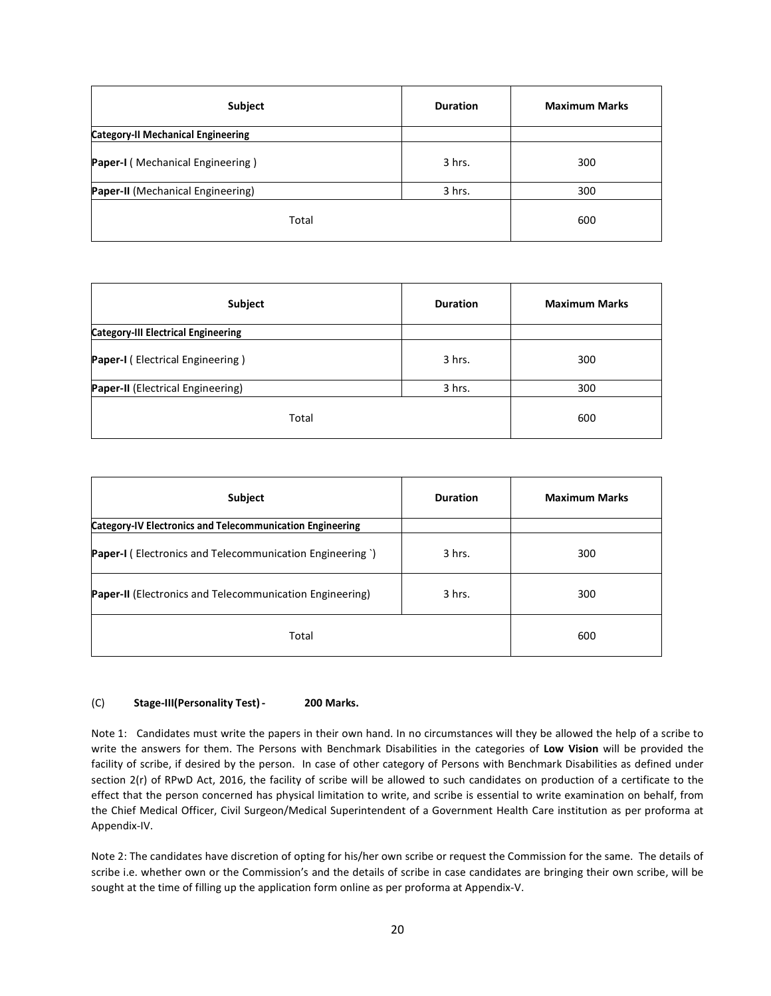| Subject                                   | <b>Duration</b> | <b>Maximum Marks</b> |
|-------------------------------------------|-----------------|----------------------|
| <b>Category-II Mechanical Engineering</b> |                 |                      |
| Paper-I (Mechanical Engineering)          | 3 hrs.          | 300                  |
| Paper-II (Mechanical Engineering)         | 3 hrs.          | 300                  |
| Total                                     |                 | 600                  |

| Subject                                    | <b>Duration</b> | <b>Maximum Marks</b> |
|--------------------------------------------|-----------------|----------------------|
| <b>Category-III Electrical Engineering</b> |                 |                      |
| <b>Paper-I</b> (Electrical Engineering)    | 3 hrs.          | 300                  |
| Paper-II (Electrical Engineering)          | 3 hrs.          | 300                  |
| Total                                      |                 | 600                  |

| Subject                                                          | <b>Duration</b> | <b>Maximum Marks</b> |  |  |  |
|------------------------------------------------------------------|-----------------|----------------------|--|--|--|
| <b>Category-IV Electronics and Telecommunication Engineering</b> |                 |                      |  |  |  |
| <b>Paper-I</b> (Electronics and Telecommunication Engineering)   | 3 hrs.          | 300                  |  |  |  |
| <b>Paper-II</b> (Electronics and Telecommunication Engineering)  | 3 hrs.          | 300                  |  |  |  |
| Total                                                            | 600             |                      |  |  |  |

#### (C) **Stage-III(Personality Test) - 200 Marks.**

Note 1:Candidates must write the papers in their own hand. In no circumstances will they be allowed the help of a scribe to write the answers for them. The Persons with Benchmark Disabilities in the categories of **Low Vision** will be provided the facility of scribe, if desired by the person. In case of other category of Persons with Benchmark Disabilities as defined under section 2(r) of RPwD Act, 2016, the facility of scribe will be allowed to such candidates on production of a certificate to the effect that the person concerned has physical limitation to write, and scribe is essential to write examination on behalf, from the Chief Medical Officer, Civil Surgeon/Medical Superintendent of a Government Health Care institution as per proforma at Appendix-IV.

Note 2: The candidates have discretion of opting for his/her own scribe or request the Commission for the same. The details of scribe i.e. whether own or the Commission's and the details of scribe in case candidates are bringing their own scribe, will be sought at the time of filling up the application form online as per proforma at Appendix-V.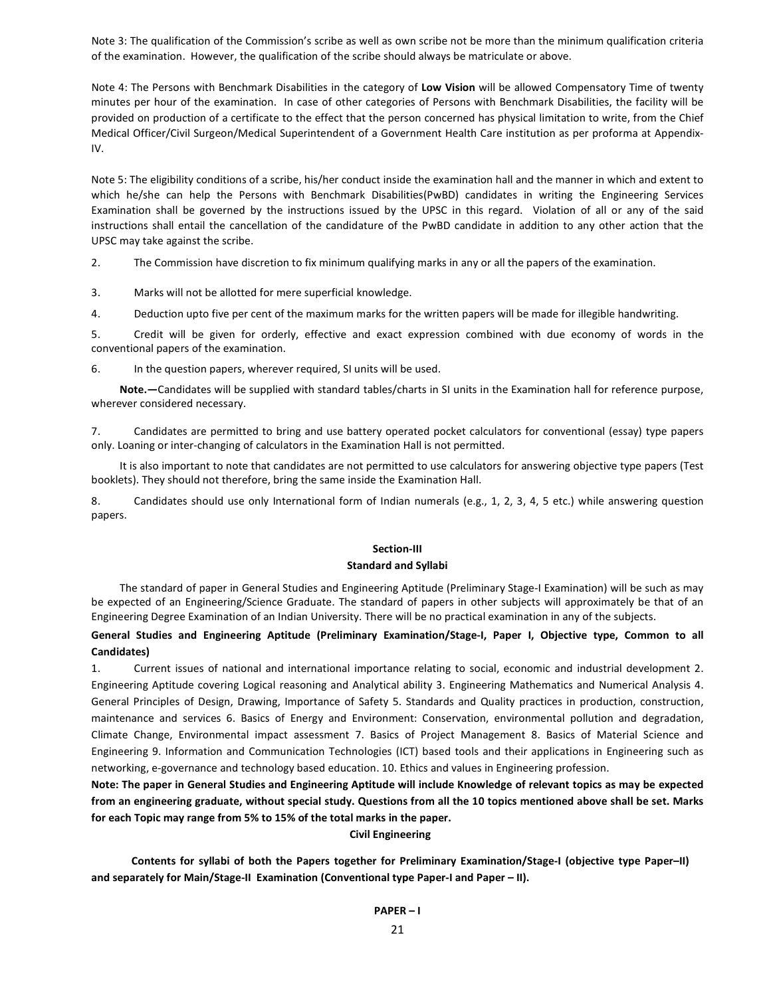Note 3: The qualification of the Commission's scribe as well as own scribe not be more than the minimum qualification criteria of the examination. However, the qualification of the scribe should always be matriculate or above.

Note 4: The Persons with Benchmark Disabilities in the category of **Low Vision** will be allowed Compensatory Time of twenty minutes per hour of the examination. In case of other categories of Persons with Benchmark Disabilities, the facility will be provided on production of a certificate to the effect that the person concerned has physical limitation to write, from the Chief Medical Officer/Civil Surgeon/Medical Superintendent of a Government Health Care institution as per proforma at Appendix-IV.

Note 5: The eligibility conditions of a scribe, his/her conduct inside the examination hall and the manner in which and extent to which he/she can help the Persons with Benchmark Disabilities(PwBD) candidates in writing the Engineering Services Examination shall be governed by the instructions issued by the UPSC in this regard. Violation of all or any of the said instructions shall entail the cancellation of the candidature of the PwBD candidate in addition to any other action that the UPSC may take against the scribe.

2. The Commission have discretion to fix minimum qualifying marks in any or all the papers of the examination.

3. Marks will not be allotted for mere superficial knowledge.

4. Deduction upto five per cent of the maximum marks for the written papers will be made for illegible handwriting.

5. Credit will be given for orderly, effective and exact expression combined with due economy of words in the conventional papers of the examination.

6. In the question papers, wherever required, SI units will be used.

**Note.—**Candidates will be supplied with standard tables/charts in SI units in the Examination hall for reference purpose, wherever considered necessary.

7. Candidates are permitted to bring and use battery operated pocket calculators for conventional (essay) type papers only. Loaning or inter-changing of calculators in the Examination Hall is not permitted.

It is also important to note that candidates are not permitted to use calculators for answering objective type papers (Test booklets). They should not therefore, bring the same inside the Examination Hall.

8. Candidates should use only International form of Indian numerals (e.g., 1, 2, 3, 4, 5 etc.) while answering question papers.

#### **Section-III**

#### **Standard and Syllabi**

The standard of paper in General Studies and Engineering Aptitude (Preliminary Stage-I Examination) will be such as may be expected of an Engineering/Science Graduate. The standard of papers in other subjects will approximately be that of an Engineering Degree Examination of an Indian University. There will be no practical examination in any of the subjects.

#### **General Studies and Engineering Aptitude (Preliminary Examination/Stage-I, Paper I, Objective type, Common to all Candidates)**

1. Current issues of national and international importance relating to social, economic and industrial development 2. Engineering Aptitude covering Logical reasoning and Analytical ability 3. Engineering Mathematics and Numerical Analysis 4. General Principles of Design, Drawing, Importance of Safety 5. Standards and Quality practices in production, construction, maintenance and services 6. Basics of Energy and Environment: Conservation, environmental pollution and degradation, Climate Change, Environmental impact assessment 7. Basics of Project Management 8. Basics of Material Science and Engineering 9. Information and Communication Technologies (ICT) based tools and their applications in Engineering such as networking, e-governance and technology based education. 10. Ethics and values in Engineering profession.

**Note: The paper in General Studies and Engineering Aptitude will include Knowledge of relevant topics as may be expected from an engineering graduate, without special study. Questions from all the 10 topics mentioned above shall be set. Marks for each Topic may range from 5% to 15% of the total marks in the paper.** 

#### **Civil Engineering**

**Contents for syllabi of both the Papers together for Preliminary Examination/Stage-I (objective type Paper–II) and separately for Main/Stage-II Examination (Conventional type Paper-I and Paper – II).**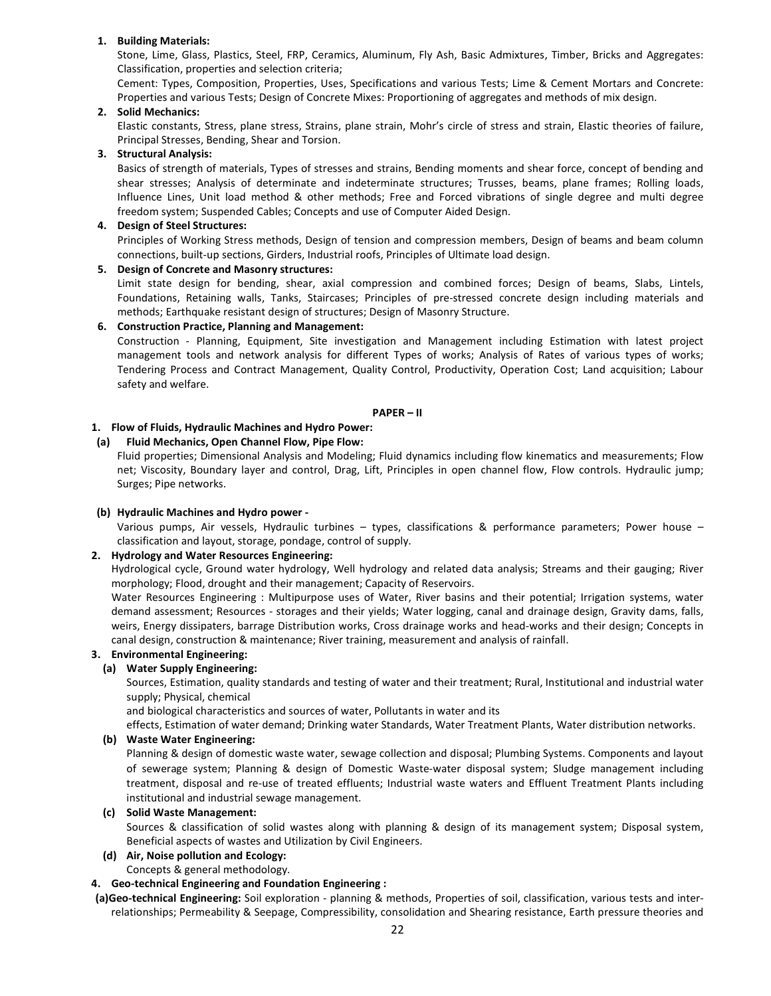#### **1. Building Materials:**

Stone, Lime, Glass, Plastics, Steel, FRP, Ceramics, Aluminum, Fly Ash, Basic Admixtures, Timber, Bricks and Aggregates: Classification, properties and selection criteria;

Cement: Types, Composition, Properties, Uses, Specifications and various Tests; Lime & Cement Mortars and Concrete: Properties and various Tests; Design of Concrete Mixes: Proportioning of aggregates and methods of mix design.

#### **2. Solid Mechanics:**

Elastic constants, Stress, plane stress, Strains, plane strain, Mohr's circle of stress and strain, Elastic theories of failure, Principal Stresses, Bending, Shear and Torsion.

#### **3. Structural Analysis:**

Basics of strength of materials, Types of stresses and strains, Bending moments and shear force, concept of bending and shear stresses; Analysis of determinate and indeterminate structures; Trusses, beams, plane frames; Rolling loads, Influence Lines, Unit load method & other methods; Free and Forced vibrations of single degree and multi degree freedom system; Suspended Cables; Concepts and use of Computer Aided Design.

#### **4. Design of Steel Structures:**

Principles of Working Stress methods, Design of tension and compression members, Design of beams and beam column connections, built-up sections, Girders, Industrial roofs, Principles of Ultimate load design.

#### **5. Design of Concrete and Masonry structures:**

Limit state design for bending, shear, axial compression and combined forces; Design of beams, Slabs, Lintels, Foundations, Retaining walls, Tanks, Staircases; Principles of pre-stressed concrete design including materials and methods; Earthquake resistant design of structures; Design of Masonry Structure.

#### **6. Construction Practice, Planning and Management:**

Construction - Planning, Equipment, Site investigation and Management including Estimation with latest project management tools and network analysis for different Types of works; Analysis of Rates of various types of works; Tendering Process and Contract Management, Quality Control, Productivity, Operation Cost; Land acquisition; Labour safety and welfare.

#### **PAPER – II**

#### **1. Flow of Fluids, Hydraulic Machines and Hydro Power:**

#### **(a) Fluid Mechanics, Open Channel Flow, Pipe Flow:**

Fluid properties; Dimensional Analysis and Modeling; Fluid dynamics including flow kinematics and measurements; Flow net; Viscosity, Boundary layer and control, Drag, Lift, Principles in open channel flow, Flow controls. Hydraulic jump; Surges; Pipe networks.

#### **(b) Hydraulic Machines and Hydro power -**

Various pumps, Air vessels, Hydraulic turbines – types, classifications & performance parameters; Power house – classification and layout, storage, pondage, control of supply.

#### **2. Hydrology and Water Resources Engineering:**

Hydrological cycle, Ground water hydrology, Well hydrology and related data analysis; Streams and their gauging; River morphology; Flood, drought and their management; Capacity of Reservoirs.

Water Resources Engineering : Multipurpose uses of Water, River basins and their potential; Irrigation systems, water demand assessment; Resources - storages and their yields; Water logging, canal and drainage design, Gravity dams, falls, weirs, Energy dissipaters, barrage Distribution works, Cross drainage works and head-works and their design; Concepts in canal design, construction & maintenance; River training, measurement and analysis of rainfall.

#### **3. Environmental Engineering:**

#### **(a) Water Supply Engineering:**

Sources, Estimation, quality standards and testing of water and their treatment; Rural, Institutional and industrial water supply; Physical, chemical

and biological characteristics and sources of water, Pollutants in water and its

effects, Estimation of water demand; Drinking water Standards, Water Treatment Plants, Water distribution networks.

#### **(b) Waste Water Engineering:**

Planning & design of domestic waste water, sewage collection and disposal; Plumbing Systems. Components and layout of sewerage system; Planning & design of Domestic Waste-water disposal system; Sludge management including treatment, disposal and re-use of treated effluents; Industrial waste waters and Effluent Treatment Plants including institutional and industrial sewage management.

#### **(c) Solid Waste Management:**

Sources & classification of solid wastes along with planning & design of its management system; Disposal system, Beneficial aspects of wastes and Utilization by Civil Engineers.

#### **(d) Air, Noise pollution and Ecology:**  Concepts & general methodology.

#### **4. Geo-technical Engineering and Foundation Engineering :**

**(a)Geo-technical Engineering:** Soil exploration - planning & methods, Properties of soil, classification, various tests and interrelationships; Permeability & Seepage, Compressibility, consolidation and Shearing resistance, Earth pressure theories and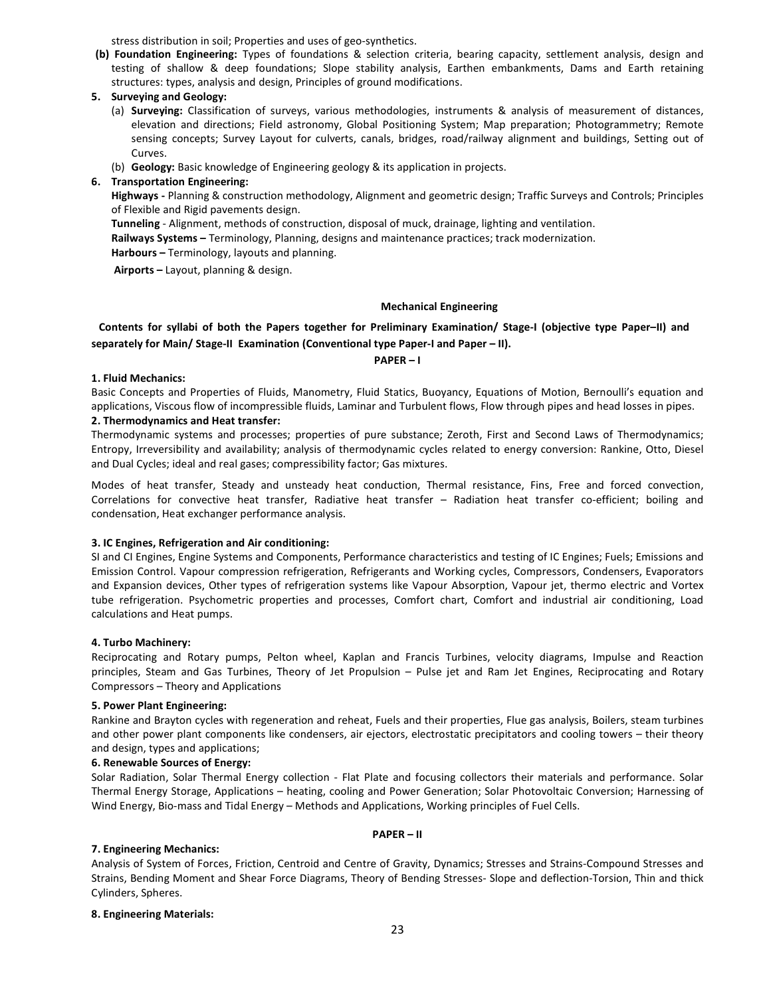stress distribution in soil; Properties and uses of geo-synthetics.

- **(b) Foundation Engineering:** Types of foundations & selection criteria, bearing capacity, settlement analysis, design and testing of shallow & deep foundations; Slope stability analysis, Earthen embankments, Dams and Earth retaining structures: types, analysis and design, Principles of ground modifications.
- **5. Surveying and Geology:** 
	- (a) **Surveying:** Classification of surveys, various methodologies, instruments & analysis of measurement of distances, elevation and directions; Field astronomy, Global Positioning System; Map preparation; Photogrammetry; Remote sensing concepts; Survey Layout for culverts, canals, bridges, road/railway alignment and buildings, Setting out of Curves.
	- (b) **Geology:** Basic knowledge of Engineering geology & its application in projects.

#### **6. Transportation Engineering:**

**Highways -** Planning & construction methodology, Alignment and geometric design; Traffic Surveys and Controls; Principles of Flexible and Rigid pavements design.

**Tunneling** - Alignment, methods of construction, disposal of muck, drainage, lighting and ventilation.

**Railways Systems –** Terminology, Planning, designs and maintenance practices; track modernization.

**Harbours –** Terminology, layouts and planning.

 **Airports –** Layout, planning & design.

#### **Mechanical Engineering**

#### **Contents for syllabi of both the Papers together for Preliminary Examination/ Stage-I (objective type Paper–II) and separately for Main/ Stage-II Examination (Conventional type Paper-I and Paper – II).**

#### **PAPER – I**

#### **1. Fluid Mechanics:**

Basic Concepts and Properties of Fluids, Manometry, Fluid Statics, Buoyancy, Equations of Motion, Bernoulli's equation and applications, Viscous flow of incompressible fluids, Laminar and Turbulent flows, Flow through pipes and head losses in pipes. **2. Thermodynamics and Heat transfer:**

Thermodynamic systems and processes; properties of pure substance; Zeroth, First and Second Laws of Thermodynamics; Entropy, Irreversibility and availability; analysis of thermodynamic cycles related to energy conversion: Rankine, Otto, Diesel and Dual Cycles; ideal and real gases; compressibility factor; Gas mixtures.

Modes of heat transfer, Steady and unsteady heat conduction, Thermal resistance, Fins, Free and forced convection, Correlations for convective heat transfer, Radiative heat transfer – Radiation heat transfer co-efficient; boiling and condensation, Heat exchanger performance analysis.

#### **3. IC Engines, Refrigeration and Air conditioning:**

SI and CI Engines, Engine Systems and Components, Performance characteristics and testing of IC Engines; Fuels; Emissions and Emission Control. Vapour compression refrigeration, Refrigerants and Working cycles, Compressors, Condensers, Evaporators and Expansion devices, Other types of refrigeration systems like Vapour Absorption, Vapour jet, thermo electric and Vortex tube refrigeration. Psychometric properties and processes, Comfort chart, Comfort and industrial air conditioning, Load calculations and Heat pumps.

#### **4. Turbo Machinery:**

Reciprocating and Rotary pumps, Pelton wheel, Kaplan and Francis Turbines, velocity diagrams, Impulse and Reaction principles, Steam and Gas Turbines, Theory of Jet Propulsion – Pulse jet and Ram Jet Engines, Reciprocating and Rotary Compressors – Theory and Applications

#### **5. Power Plant Engineering:**

Rankine and Brayton cycles with regeneration and reheat, Fuels and their properties, Flue gas analysis, Boilers, steam turbines and other power plant components like condensers, air ejectors, electrostatic precipitators and cooling towers – their theory and design, types and applications;

#### **6. Renewable Sources of Energy:**

Solar Radiation, Solar Thermal Energy collection - Flat Plate and focusing collectors their materials and performance. Solar Thermal Energy Storage, Applications – heating, cooling and Power Generation; Solar Photovoltaic Conversion; Harnessing of Wind Energy, Bio-mass and Tidal Energy – Methods and Applications, Working principles of Fuel Cells.

#### **PAPER – II**

#### **7. Engineering Mechanics:**

Analysis of System of Forces, Friction, Centroid and Centre of Gravity, Dynamics; Stresses and Strains-Compound Stresses and Strains, Bending Moment and Shear Force Diagrams, Theory of Bending Stresses- Slope and deflection-Torsion, Thin and thick Cylinders, Spheres.

#### **8. Engineering Materials:**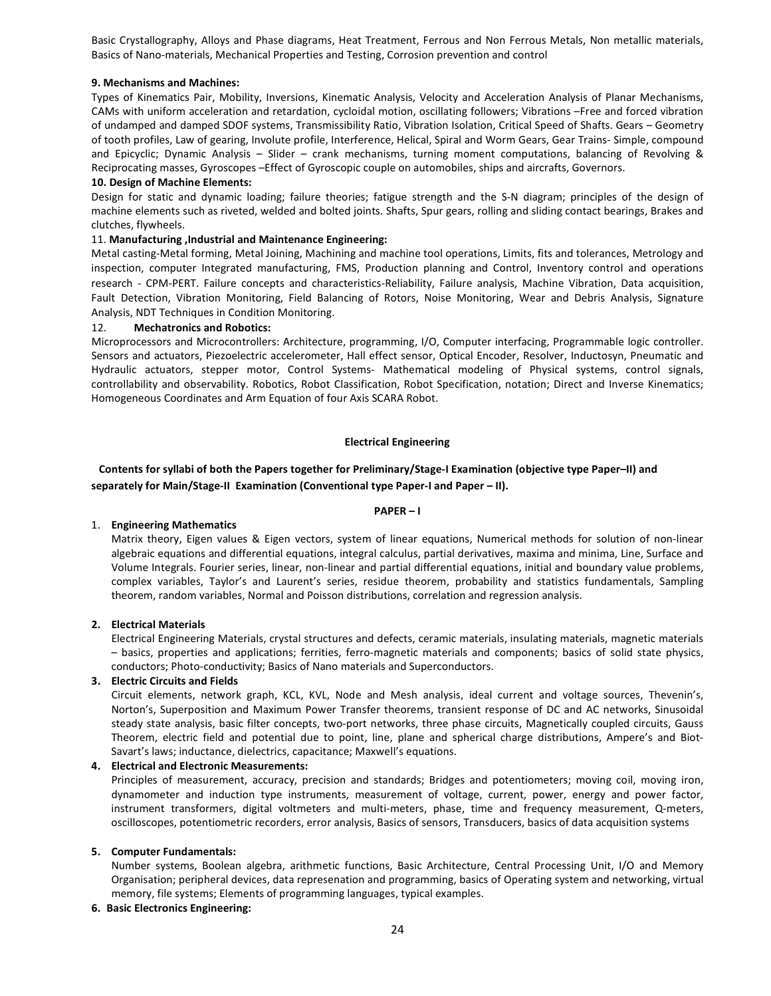Basic Crystallography, Alloys and Phase diagrams, Heat Treatment, Ferrous and Non Ferrous Metals, Non metallic materials, Basics of Nano-materials, Mechanical Properties and Testing, Corrosion prevention and control

#### **9. Mechanisms and Machines:**

Types of Kinematics Pair, Mobility, Inversions, Kinematic Analysis, Velocity and Acceleration Analysis of Planar Mechanisms, CAMs with uniform acceleration and retardation, cycloidal motion, oscillating followers; Vibrations –Free and forced vibration of undamped and damped SDOF systems, Transmissibility Ratio, Vibration Isolation, Critical Speed of Shafts. Gears – Geometry of tooth profiles, Law of gearing, Involute profile, Interference, Helical, Spiral and Worm Gears, Gear Trains- Simple, compound and Epicyclic; Dynamic Analysis – Slider – crank mechanisms, turning moment computations, balancing of Revolving & Reciprocating masses, Gyroscopes –Effect of Gyroscopic couple on automobiles, ships and aircrafts, Governors.

#### **10. Design of Machine Elements:**

Design for static and dynamic loading; failure theories; fatigue strength and the S-N diagram; principles of the design of machine elements such as riveted, welded and bolted joints. Shafts, Spur gears, rolling and sliding contact bearings, Brakes and clutches, flywheels.

#### 11. **Manufacturing ,Industrial and Maintenance Engineering:**

Metal casting-Metal forming, Metal Joining, Machining and machine tool operations, Limits, fits and tolerances, Metrology and inspection, computer Integrated manufacturing, FMS, Production planning and Control, Inventory control and operations research - CPM-PERT. Failure concepts and characteristics-Reliability, Failure analysis, Machine Vibration, Data acquisition, Fault Detection, Vibration Monitoring, Field Balancing of Rotors, Noise Monitoring, Wear and Debris Analysis, Signature Analysis, NDT Techniques in Condition Monitoring.

#### 12. **Mechatronics and Robotics:**

Microprocessors and Microcontrollers: Architecture, programming, I/O, Computer interfacing, Programmable logic controller. Sensors and actuators, Piezoelectric accelerometer, Hall effect sensor, Optical Encoder, Resolver, Inductosyn, Pneumatic and Hydraulic actuators, stepper motor, Control Systems- Mathematical modeling of Physical systems, control signals, controllability and observability. Robotics, Robot Classification, Robot Specification, notation; Direct and Inverse Kinematics; Homogeneous Coordinates and Arm Equation of four Axis SCARA Robot.

#### **Electrical Engineering**

#### **Contents for syllabi of both the Papers together for Preliminary/Stage-I Examination (objective type Paper–II) and separately for Main/Stage-II Examination (Conventional type Paper-I and Paper – II).**

#### **PAPER – I**

#### 1. **Engineering Mathematics**

Matrix theory, Eigen values & Eigen vectors, system of linear equations, Numerical methods for solution of non-linear algebraic equations and differential equations, integral calculus, partial derivatives, maxima and minima, Line, Surface and Volume Integrals. Fourier series, linear, non-linear and partial differential equations, initial and boundary value problems, complex variables, Taylor's and Laurent's series, residue theorem, probability and statistics fundamentals, Sampling theorem, random variables, Normal and Poisson distributions, correlation and regression analysis.

#### **2. Electrical Materials**

Electrical Engineering Materials, crystal structures and defects, ceramic materials, insulating materials, magnetic materials – basics, properties and applications; ferrities, ferro-magnetic materials and components; basics of solid state physics, conductors; Photo-conductivity; Basics of Nano materials and Superconductors.

#### **3. Electric Circuits and Fields**

Circuit elements, network graph, KCL, KVL, Node and Mesh analysis, ideal current and voltage sources, Thevenin's, Norton's, Superposition and Maximum Power Transfer theorems, transient response of DC and AC networks, Sinusoidal steady state analysis, basic filter concepts, two-port networks, three phase circuits, Magnetically coupled circuits, Gauss Theorem, electric field and potential due to point, line, plane and spherical charge distributions, Ampere's and Biot-Savart's laws; inductance, dielectrics, capacitance; Maxwell's equations.

#### **4. Electrical and Electronic Measurements:**

Principles of measurement, accuracy, precision and standards; Bridges and potentiometers; moving coil, moving iron, dynamometer and induction type instruments, measurement of voltage, current, power, energy and power factor, instrument transformers, digital voltmeters and multi-meters, phase, time and frequency measurement, Q-meters, oscilloscopes, potentiometric recorders, error analysis, Basics of sensors, Transducers, basics of data acquisition systems

#### **5. Computer Fundamentals:**

Number systems, Boolean algebra, arithmetic functions, Basic Architecture, Central Processing Unit, I/O and Memory Organisation; peripheral devices, data represenation and programming, basics of Operating system and networking, virtual memory, file systems; Elements of programming languages, typical examples.

#### **6. Basic Electronics Engineering:**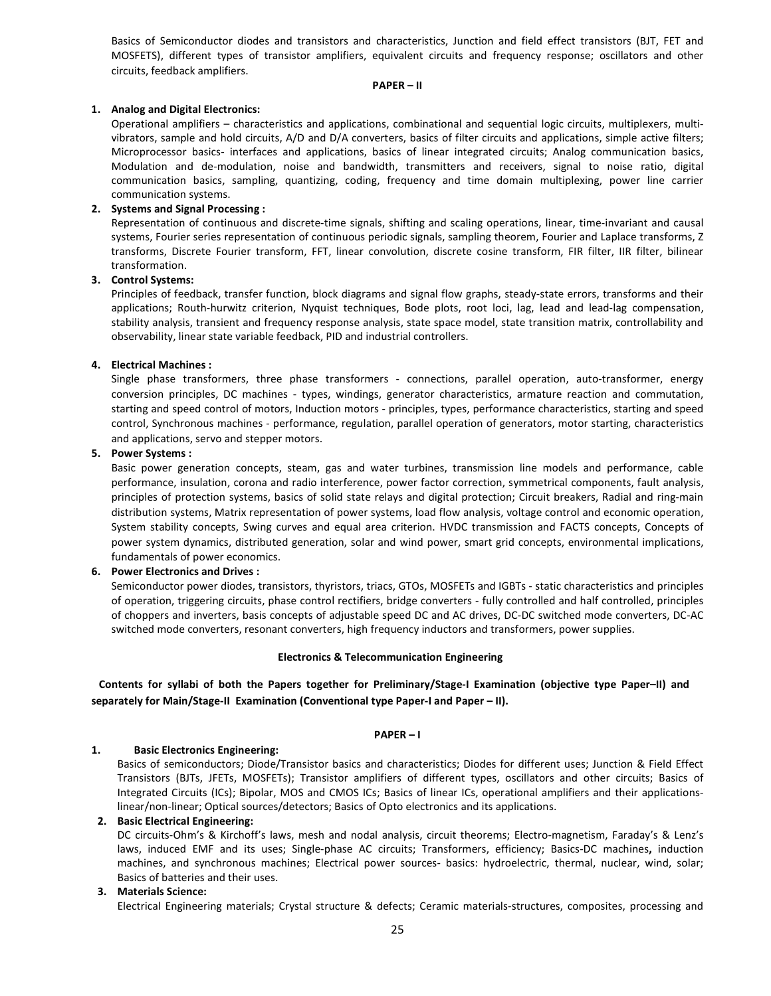Basics of Semiconductor diodes and transistors and characteristics, Junction and field effect transistors (BJT, FET and MOSFETS), different types of transistor amplifiers, equivalent circuits and frequency response; oscillators and other circuits, feedback amplifiers.

#### **PAPER – II**

#### **1. Analog and Digital Electronics:**

Operational amplifiers – characteristics and applications, combinational and sequential logic circuits, multiplexers, multivibrators, sample and hold circuits, A/D and D/A converters, basics of filter circuits and applications, simple active filters; Microprocessor basics- interfaces and applications, basics of linear integrated circuits; Analog communication basics, Modulation and de-modulation, noise and bandwidth, transmitters and receivers, signal to noise ratio, digital communication basics, sampling, quantizing, coding, frequency and time domain multiplexing, power line carrier communication systems.

#### **2. Systems and Signal Processing :**

Representation of continuous and discrete-time signals, shifting and scaling operations, linear, time-invariant and causal systems, Fourier series representation of continuous periodic signals, sampling theorem, Fourier and Laplace transforms, Z transforms, Discrete Fourier transform, FFT, linear convolution, discrete cosine transform, FIR filter, IIR filter, bilinear transformation.

#### **3. Control Systems:**

Principles of feedback, transfer function, block diagrams and signal flow graphs, steady-state errors, transforms and their applications; Routh-hurwitz criterion, Nyquist techniques, Bode plots, root loci, lag, lead and lead-lag compensation, stability analysis, transient and frequency response analysis, state space model, state transition matrix, controllability and observability, linear state variable feedback, PID and industrial controllers.

#### **4. Electrical Machines :**

Single phase transformers, three phase transformers - connections, parallel operation, auto-transformer, energy conversion principles, DC machines - types, windings, generator characteristics, armature reaction and commutation, starting and speed control of motors, Induction motors - principles, types, performance characteristics, starting and speed control, Synchronous machines - performance, regulation, parallel operation of generators, motor starting, characteristics and applications, servo and stepper motors.

#### **5. Power Systems :**

Basic power generation concepts, steam, gas and water turbines, transmission line models and performance, cable performance, insulation, corona and radio interference, power factor correction, symmetrical components, fault analysis, principles of protection systems, basics of solid state relays and digital protection; Circuit breakers, Radial and ring-main distribution systems, Matrix representation of power systems, load flow analysis, voltage control and economic operation, System stability concepts, Swing curves and equal area criterion. HVDC transmission and FACTS concepts, Concepts of power system dynamics, distributed generation, solar and wind power, smart grid concepts, environmental implications, fundamentals of power economics.

#### **6. Power Electronics and Drives :**

Semiconductor power diodes, transistors, thyristors, triacs, GTOs, MOSFETs and IGBTs - static characteristics and principles of operation, triggering circuits, phase control rectifiers, bridge converters - fully controlled and half controlled, principles of choppers and inverters, basis concepts of adjustable speed DC and AC drives, DC-DC switched mode converters, DC-AC switched mode converters, resonant converters, high frequency inductors and transformers, power supplies.

#### **Electronics & Telecommunication Engineering**

**Contents for syllabi of both the Papers together for Preliminary/Stage-I Examination (objective type Paper–II) and separately for Main/Stage-II Examination (Conventional type Paper-I and Paper – II).** 

#### **PAPER – I**

#### **1. Basic Electronics Engineering:**

Basics of semiconductors; Diode/Transistor basics and characteristics; Diodes for different uses; Junction & Field Effect Transistors (BJTs, JFETs, MOSFETs); Transistor amplifiers of different types, oscillators and other circuits; Basics of Integrated Circuits (ICs); Bipolar, MOS and CMOS ICs; Basics of linear ICs, operational amplifiers and their applicationslinear/non-linear; Optical sources/detectors; Basics of Opto electronics and its applications.

#### **2. Basic Electrical Engineering:**

DC circuits-Ohm's & Kirchoff's laws, mesh and nodal analysis, circuit theorems; Electro-magnetism, Faraday's & Lenz's laws, induced EMF and its uses; Single-phase AC circuits; Transformers, efficiency; Basics-DC machines**,** induction machines, and synchronous machines; Electrical power sources- basics: hydroelectric, thermal, nuclear, wind, solar; Basics of batteries and their uses.

#### **3. Materials Science:**

Electrical Engineering materials; Crystal structure & defects; Ceramic materials-structures, composites, processing and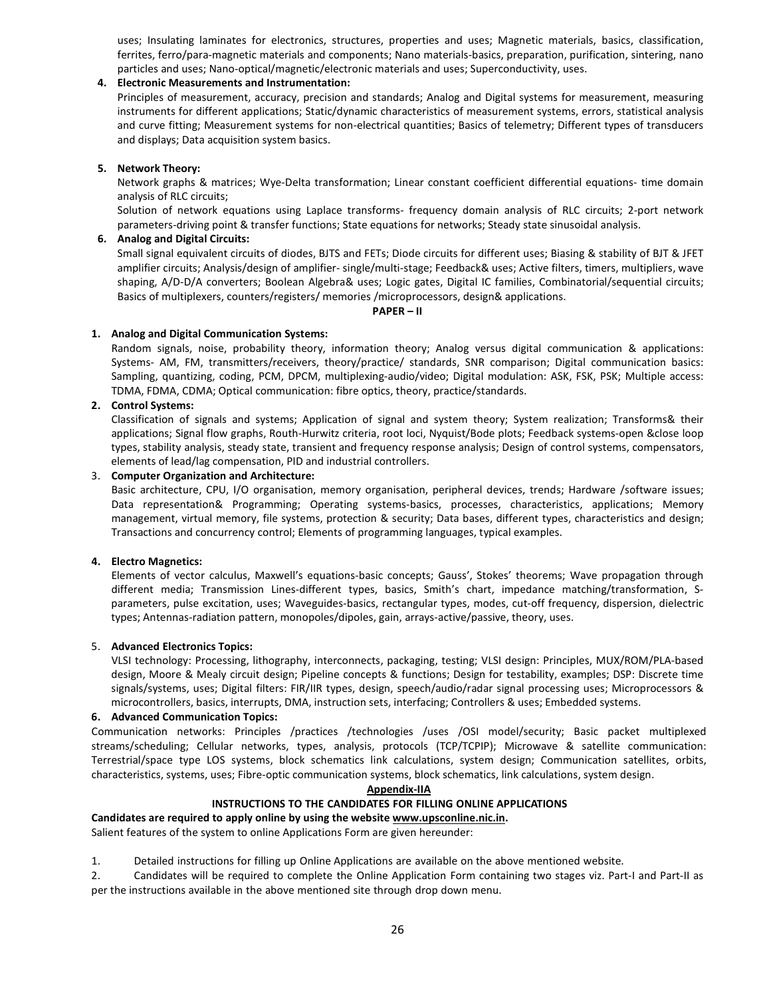uses; Insulating laminates for electronics, structures, properties and uses; Magnetic materials, basics, classification, ferrites, ferro/para-magnetic materials and components; Nano materials-basics, preparation, purification, sintering, nano particles and uses; Nano-optical/magnetic/electronic materials and uses; Superconductivity, uses.

#### **4. Electronic Measurements and Instrumentation:**

Principles of measurement, accuracy, precision and standards; Analog and Digital systems for measurement, measuring instruments for different applications; Static/dynamic characteristics of measurement systems, errors, statistical analysis and curve fitting; Measurement systems for non-electrical quantities; Basics of telemetry; Different types of transducers and displays; Data acquisition system basics.

#### **5. Network Theory:**

Network graphs & matrices; Wye-Delta transformation; Linear constant coefficient differential equations- time domain analysis of RLC circuits;

Solution of network equations using Laplace transforms- frequency domain analysis of RLC circuits; 2-port network parameters-driving point & transfer functions; State equations for networks; Steady state sinusoidal analysis.

#### **6. Analog and Digital Circuits:**

Small signal equivalent circuits of diodes, BJTS and FETs; Diode circuits for different uses; Biasing & stability of BJT & JFET amplifier circuits; Analysis/design of amplifier- single/multi-stage; Feedback& uses; Active filters, timers, multipliers, wave shaping, A/D-D/A converters; Boolean Algebra& uses; Logic gates, Digital IC families, Combinatorial/sequential circuits; Basics of multiplexers, counters/registers/ memories /microprocessors, design& applications.

#### **PAPER – II**

#### **1. Analog and Digital Communication Systems:**

Random signals, noise, probability theory, information theory; Analog versus digital communication & applications: Systems- AM, FM, transmitters/receivers, theory/practice/ standards, SNR comparison; Digital communication basics: Sampling, quantizing, coding, PCM, DPCM, multiplexing-audio/video; Digital modulation: ASK, FSK, PSK; Multiple access: TDMA, FDMA, CDMA; Optical communication: fibre optics, theory, practice/standards.

#### **2. Control Systems:**

Classification of signals and systems; Application of signal and system theory; System realization; Transforms& their applications; Signal flow graphs, Routh-Hurwitz criteria, root loci, Nyquist/Bode plots; Feedback systems-open &close loop types, stability analysis, steady state, transient and frequency response analysis; Design of control systems, compensators, elements of lead/lag compensation, PID and industrial controllers.

#### 3. **Computer Organization and Architecture:**

Basic architecture, CPU, I/O organisation, memory organisation, peripheral devices, trends; Hardware /software issues; Data representation& Programming; Operating systems-basics, processes, characteristics, applications; Memory management, virtual memory, file systems, protection & security; Data bases, different types, characteristics and design; Transactions and concurrency control; Elements of programming languages, typical examples.

#### **4. Electro Magnetics:**

Elements of vector calculus, Maxwell's equations-basic concepts; Gauss', Stokes' theorems; Wave propagation through different media; Transmission Lines-different types, basics, Smith's chart, impedance matching/transformation, Sparameters, pulse excitation, uses; Waveguides-basics, rectangular types, modes, cut-off frequency, dispersion, dielectric types; Antennas-radiation pattern, monopoles/dipoles, gain, arrays-active/passive, theory, uses.

#### 5. **Advanced Electronics Topics:**

VLSI technology: Processing, lithography, interconnects, packaging, testing; VLSI design: Principles, MUX/ROM/PLA-based design, Moore & Mealy circuit design; Pipeline concepts & functions; Design for testability, examples; DSP: Discrete time signals/systems, uses; Digital filters: FIR/IIR types, design, speech/audio/radar signal processing uses; Microprocessors & microcontrollers, basics, interrupts, DMA, instruction sets, interfacing; Controllers & uses; Embedded systems.

#### **6. Advanced Communication Topics:**

Communication networks: Principles /practices /technologies /uses /OSI model/security; Basic packet multiplexed streams/scheduling; Cellular networks, types, analysis, protocols (TCP/TCPIP); Microwave & satellite communication: Terrestrial/space type LOS systems, block schematics link calculations, system design; Communication satellites, orbits, characteristics, systems, uses; Fibre-optic communication systems, block schematics, link calculations, system design.

**Appendix-IIA**

#### **INSTRUCTIONS TO THE CANDIDATES FOR FILLING ONLINE APPLICATIONS**

**Candidates are required to apply online by using the website www.upsconline.nic.in.** 

Salient features of the system to online Applications Form are given hereunder:

1. Detailed instructions for filling up Online Applications are available on the above mentioned website.

2. Candidates will be required to complete the Online Application Form containing two stages viz. Part-I and Part-II as per the instructions available in the above mentioned site through drop down menu.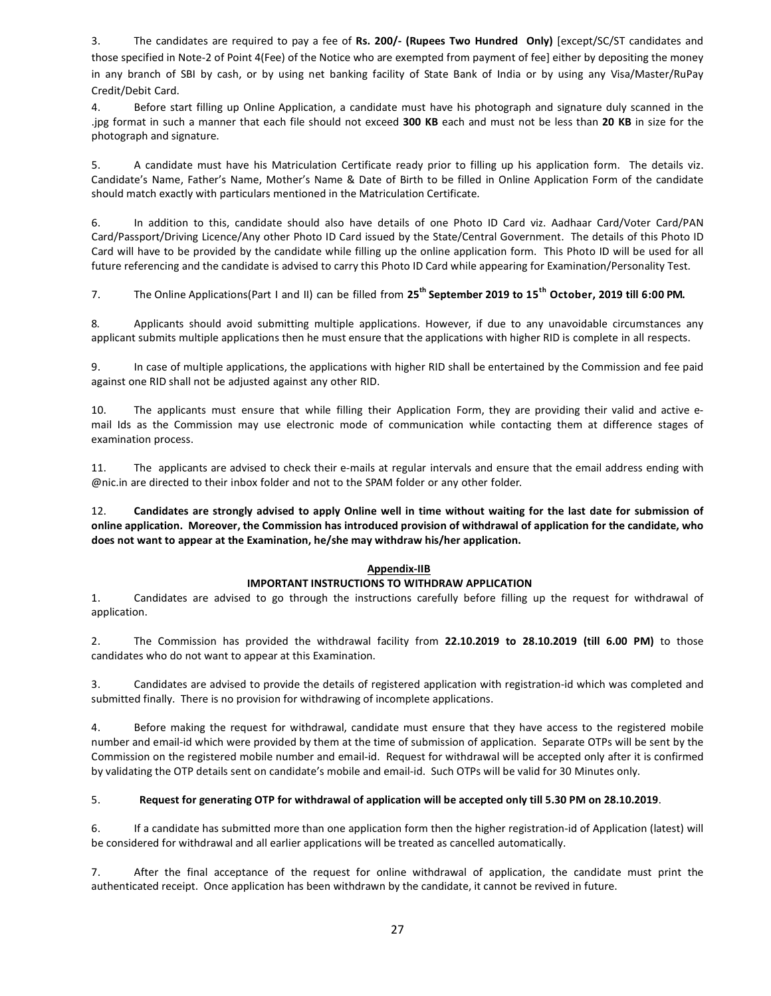3. The candidates are required to pay a fee of **Rs. 200/- (Rupees Two Hundred Only)** [except/SC/ST candidates and those specified in Note-2 of Point 4(Fee) of the Notice who are exempted from payment of fee] either by depositing the money in any branch of SBI by cash, or by using net banking facility of State Bank of India or by using any Visa/Master/RuPay Credit/Debit Card.

4. Before start filling up Online Application, a candidate must have his photograph and signature duly scanned in the .jpg format in such a manner that each file should not exceed **300 KB** each and must not be less than **20 KB** in size for the photograph and signature.

5. A candidate must have his Matriculation Certificate ready prior to filling up his application form. The details viz. Candidate's Name, Father's Name, Mother's Name & Date of Birth to be filled in Online Application Form of the candidate should match exactly with particulars mentioned in the Matriculation Certificate.

6. In addition to this, candidate should also have details of one Photo ID Card viz. Aadhaar Card/Voter Card/PAN Card/Passport/Driving Licence/Any other Photo ID Card issued by the State/Central Government. The details of this Photo ID Card will have to be provided by the candidate while filling up the online application form. This Photo ID will be used for all future referencing and the candidate is advised to carry this Photo ID Card while appearing for Examination/Personality Test.

7. The Online Applications(Part I and II) can be filled from **25th September 2019 to 15th October, 2019 till 6:00 PM.**

8. Applicants should avoid submitting multiple applications. However, if due to any unavoidable circumstances any applicant submits multiple applications then he must ensure that the applications with higher RID is complete in all respects.

9. In case of multiple applications, the applications with higher RID shall be entertained by the Commission and fee paid against one RID shall not be adjusted against any other RID.

10. The applicants must ensure that while filling their Application Form, they are providing their valid and active email Ids as the Commission may use electronic mode of communication while contacting them at difference stages of examination process.

11. The applicants are advised to check their e-mails at regular intervals and ensure that the email address ending with @nic.in are directed to their inbox folder and not to the SPAM folder or any other folder.

12. **Candidates are strongly advised to apply Online well in time without waiting for the last date for submission of online application. Moreover, the Commission has introduced provision of withdrawal of application for the candidate, who does not want to appear at the Examination, he/she may withdraw his/her application.** 

#### **Appendix-IIB**

#### **IMPORTANT INSTRUCTIONS TO WITHDRAW APPLICATION**

1. Candidates are advised to go through the instructions carefully before filling up the request for withdrawal of application.

2. The Commission has provided the withdrawal facility from **22.10.2019 to 28.10.2019 (till 6.00 PM)** to those candidates who do not want to appear at this Examination.

3. Candidates are advised to provide the details of registered application with registration-id which was completed and submitted finally. There is no provision for withdrawing of incomplete applications.

4. Before making the request for withdrawal, candidate must ensure that they have access to the registered mobile number and email-id which were provided by them at the time of submission of application. Separate OTPs will be sent by the Commission on the registered mobile number and email-id. Request for withdrawal will be accepted only after it is confirmed by validating the OTP details sent on candidate's mobile and email-id. Such OTPs will be valid for 30 Minutes only.

#### 5. **Request for generating OTP for withdrawal of application will be accepted only till 5.30 PM on 28.10.2019**.

6. If a candidate has submitted more than one application form then the higher registration-id of Application (latest) will be considered for withdrawal and all earlier applications will be treated as cancelled automatically.

7. After the final acceptance of the request for online withdrawal of application, the candidate must print the authenticated receipt. Once application has been withdrawn by the candidate, it cannot be revived in future.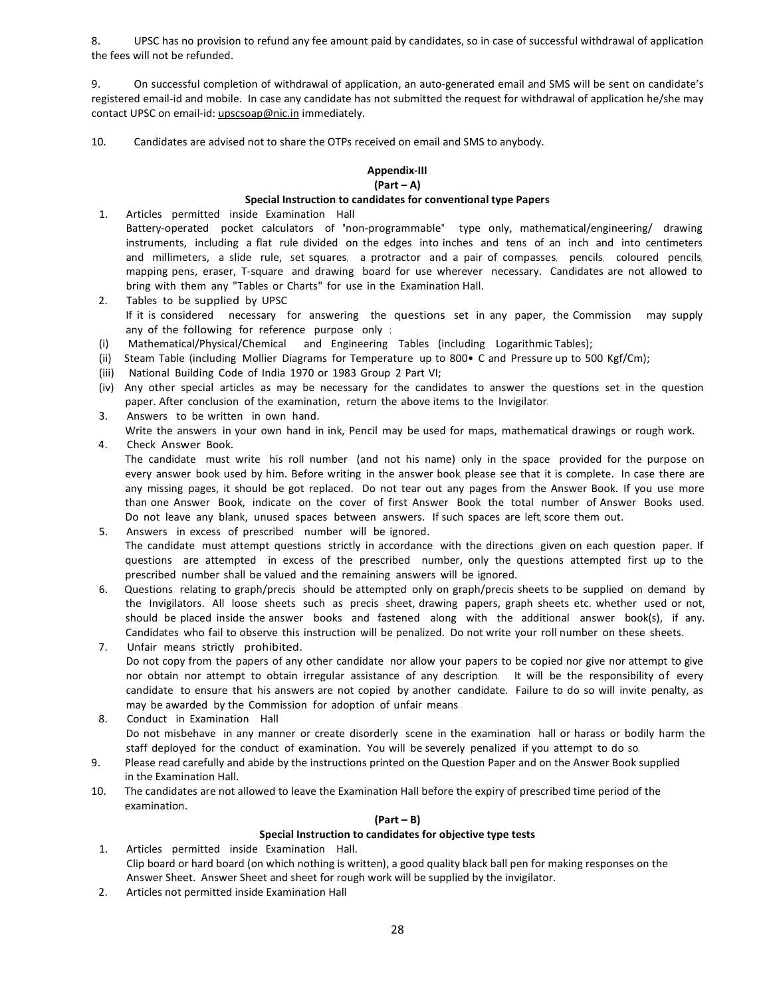8. UPSC has no provision to refund any fee amount paid by candidates, so in case of successful withdrawal of application the fees will not be refunded.

9. On successful completion of withdrawal of application, an auto-generated email and SMS will be sent on candidate's registered email-id and mobile. In case any candidate has not submitted the request for withdrawal of application he/she may contact UPSC on email-id: upscsoap@nic.in immediately.

10. Candidates are advised not to share the OTPs received on email and SMS to anybody.

#### **Appendix-III (Part – A)**

#### **Special Instruction to candidates for conventional type Papers**

- 1. Articles permitted inside Examination Hall Battery-operated pocket calculators of "non-programmable" type only, mathematical/engineering/ drawing instruments, including a flat rule divided on the edges into inches and tens of an inch and into centimeters and millimeters, a slide rule, set squares, a protractor and a pair of compasses, pencils, coloured pencils, mapping pens, eraser, T-square and drawing board for use wherever necessary. Candidates are not allowed to bring with them any "Tables or Charts" for use in the Examination Hall.
- 2. Tables to be supplied by UPSC If it is considered necessary for answering the questions set in any paper, the Commission may supply any of the following for reference purpose only :
- (i) Mathematical/Physical/Chemical and Engineering Tables (including Logarithmic Tables);
- (ii) Steam Table (including Mollier Diagrams for Temperature up to 800• C and Pressure up to 500 Kgf/Cm);
- (iii) National Building Code of India 1970 or 1983 Group 2 Part VI;
- (iv) Any other special articles as may be necessary for the candidates to answer the questions set in the question paper. After conclusion of the examination, return the above items to the Invigilator.
- 3. Answers to be written in own hand. Write the answers in your own hand in ink, Pencil may be used for maps, mathematical drawings or rough work.
- 4. Check Answer Book. The candidate must write his roll number (and not his name) only in the space provided for the purpose on every answer book used by him. Before writing in the answer book, please see that it is complete. In case there are any missing pages, it should be got replaced. Do not tear out any pages from the Answer Book. If you use more than one Answer Book, indicate on the cover of first Answer Book the total number of Answer Books used. Do not leave any blank, unused spaces between answers. If such spaces are left, score them out.
- 5. Answers in excess of prescribed number will be ignored. The candidate must attempt questions strictly in accordance with the directions given on each question paper. If questions are attempted in excess of the prescribed number, only the questions attempted first up to the prescribed number shall be valued and the remaining answers will be ignored.
- 6. Questions relating to graph/precis should be attempted only on graph/precis sheets to be supplied on demand by the Invigilators. All loose sheets such as precis sheet, drawing papers, graph sheets etc. whether used or not, should be placed inside the answer books and fastened along with the additional answer book(s), if any. Candidates who fail to observe this instruction will be penalized. Do not write your roll number on these sheets.
- 7. Unfair means strictly prohibited. Do not copy from the papers of any other candidate nor allow your papers to be copied nor give nor attempt to give nor obtain nor attempt to obtain irregular assistance of any description. It will be the responsibility of every candidate to ensure that his answers are not copied by another candidate. Failure to do so will invite penalty, as may be awarded by the Commission for adoption of unfair means.
- 8. Conduct in Examination Hall Do not misbehave in any manner or create disorderly scene in the examination hall or harass or bodily harm the staff deployed for the conduct of examination. You will be severely penalized if you attempt to do so.
- 9. Please read carefully and abide by the instructions printed on the Question Paper and on the Answer Book supplied in the Examination Hall.
- 10. The candidates are not allowed to leave the Examination Hall before the expiry of prescribed time period of the examination.

#### **(Part – B)**

#### **Special Instruction to candidates for objective type tests**

- 1. Articles permitted inside Examination Hall. Clip board or hard board (on which nothing is written), a good quality black ball pen for making responses on the Answer Sheet. Answer Sheet and sheet for rough work will be supplied by the invigilator.
- 2. Articles not permitted inside Examination Hall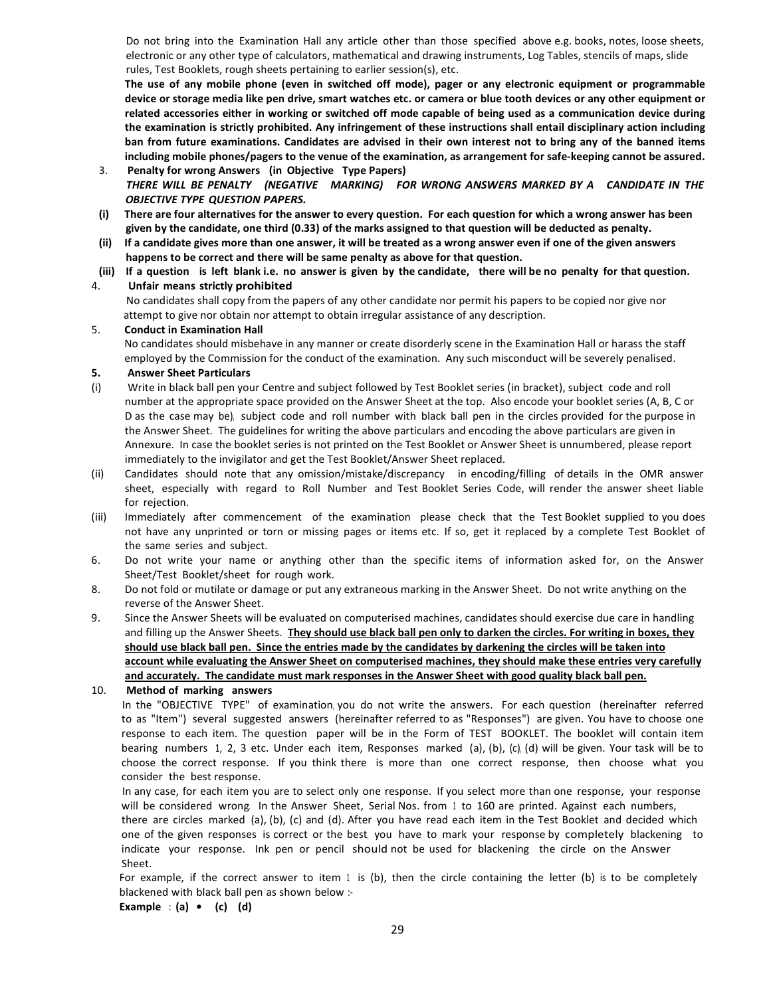Do not bring into the Examination Hall any article other than those specified above e.g. books, notes, loose sheets, electronic or any other type of calculators, mathematical and drawing instruments, Log Tables, stencils of maps, slide rules, Test Booklets, rough sheets pertaining to earlier session(s), etc.

**The use of any mobile phone (even in switched off mode), pager or any electronic equipment or programmable device or storage media like pen drive, smart watches etc. or camera or blue tooth devices or any other equipment or related accessories either in working or switched off mode capable of being used as a communication device during the examination is strictly prohibited. Any infringement of these instructions shall entail disciplinary action including ban from future examinations. Candidates are advised in their own interest not to bring any of the banned items including mobile phones/pagers to the venue of the examination, as arrangement for safe-keeping cannot be assured.** 

- 3. **Penalty for wrong Answers (in Objective Type Papers)**  *THERE WILL BE PENALTY (NEGATIVE MARKING) FOR WRONG ANSWERS MARKED BY A CANDIDATE IN THE OBJECTIVE TYPE QUESTION PAPERS.*
- **(i) There are four alternatives for the answer to every question. For each question for which a wrong answer has been given by the candidate, one third (0.33) of the marks assigned to that question will be deducted as penalty.**
- **(ii) If a candidate gives more than one answer, it will be treated as a wrong answer even if one of the given answers happens to be correct and there will be same penalty as above for that question.**
- **(iii) If a question is left blank i.e. no answer is given by the candidate, there will be no penalty for that question.**

#### 4. **Unfair means strictly prohibited**

 No candidates shall copy from the papers of any other candidate nor permit his papers to be copied nor give nor attempt to give nor obtain nor attempt to obtain irregular assistance of any description.

#### 5. **Conduct in Examination Hall**

No candidates should misbehave in any manner or create disorderly scene in the Examination Hall or harass the staff employed by the Commission for the conduct of the examination. Any such misconduct will be severely penalised.

#### **5. Answer Sheet Particulars**

- (i) Write in black ball pen your Centre and subject followed by Test Booklet series (in bracket), subject code and roll number at the appropriate space provided on the Answer Sheet at the top. Also encode your booklet series (A, B, C or D as the case may be), subject code and roll number with black ball pen in the circles provided for the purpose in the Answer Sheet. The guidelines for writing the above particulars and encoding the above particulars are given in Annexure. In case the booklet series is not printed on the Test Booklet or Answer Sheet is unnumbered, please report immediately to the invigilator and get the Test Booklet/Answer Sheet replaced.
- (ii) Candidates should note that any omission/mistake/discrepancy in encoding/filling of details in the OMR answer sheet, especially with regard to Roll Number and Test Booklet Series Code, will render the answer sheet liable for rejection.
- (iii) Immediately after commencement of the examination please check that the Test Booklet supplied to you does not have any unprinted or torn or missing pages or items etc. If so, get it replaced by a complete Test Booklet of the same series and subject.
- 6. Do not write your name or anything other than the specific items of information asked for, on the Answer Sheet/Test Booklet/sheet for rough work.
- 8. Do not fold or mutilate or damage or put any extraneous marking in the Answer Sheet. Do not write anything on the reverse of the Answer Sheet.
- 9. Since the Answer Sheets will be evaluated on computerised machines, candidates should exercise due care in handling and filling up the Answer Sheets. **They should use black ball pen only to darken the circles. For writing in boxes, they should use black ball pen. Since the entries made by the candidates by darkening the circles will be taken into account while evaluating the Answer Sheet on computerised machines, they should make these entries very carefully and accurately. The candidate must mark responses in the Answer Sheet with good quality black ball pen.**

10. **Method of marking answers**

In the "OBJECTIVE TYPE" of examination, you do not write the answers. For each question (hereinafter referred to as "Item") several suggested answers (hereinafter referred to as "Responses") are given. You have to choose one response to each item. The question paper will be in the Form of TEST BOOKLET. The booklet will contain item bearing numbers 1, 2, 3 etc. Under each item, Responses marked (a), (b), (c), (d) will be given. Your task will be to choose the correct response. If you think there is more than one correct response, then choose what you consider the best response.

In any case, for each item you are to select only one response. If you select more than one response, your response will be considered wrong. In the Answer Sheet, Serial Nos. from 1 to 160 are printed. Against each numbers, there are circles marked (a), (b), (c) and (d). After you have read each item in the Test Booklet and decided which one of the given responses is correct or the best, you have to mark your response by completely blackening to indicate your response. Ink pen or pencil should not be used for blackening the circle on the Answer Sheet.

For example, if the correct answer to item  $1$  is (b), then the circle containing the letter (b) is to be completely blackened with black ball pen as shown below :-

**Example : (a) • (c) (d)**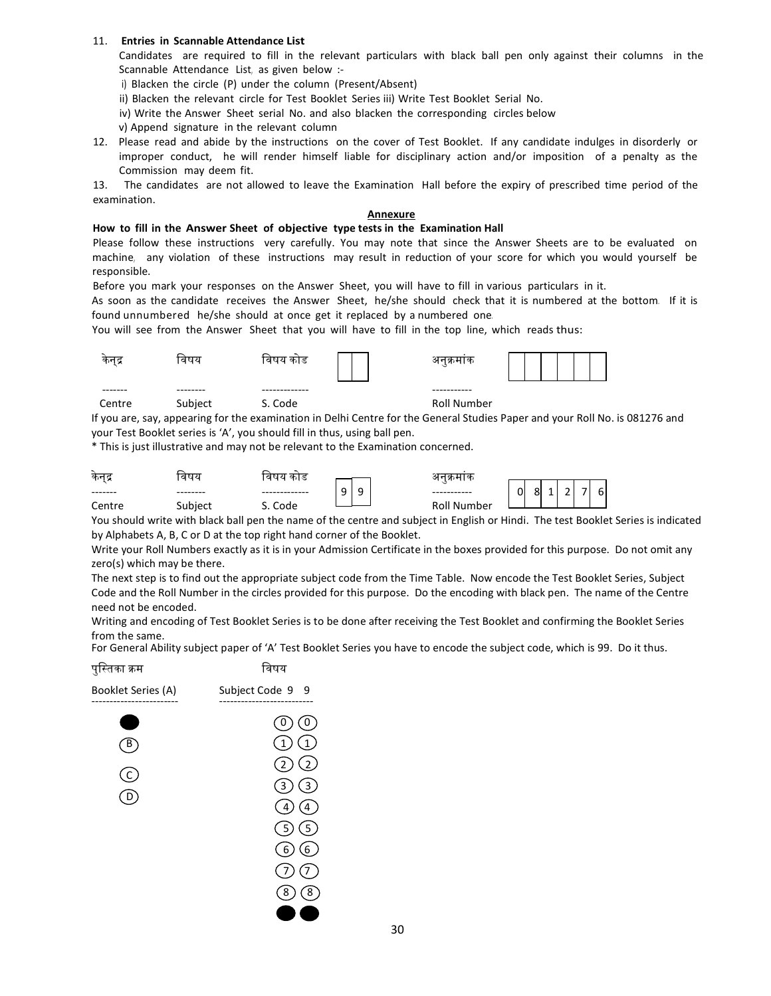#### 11. **Entries in Scannable Attendance List**

Candidates are required to fill in the relevant particulars with black ball pen only against their columns in the Scannable Attendance List, as given below :-

i) Blacken the circle (P) under the column (Present/Absent)

ii) Blacken the relevant circle for Test Booklet Series iii) Write Test Booklet Serial No.

iv) Write the Answer Sheet serial No. and also blacken the corresponding circles below

v) Append signature in the relevant column

12. Please read and abide by the instructions on the cover of Test Booklet. If any candidate indulges in disorderly or improper conduct, he will render himself liable for disciplinary action and/or imposition of a penalty as the Commission may deem fit.

13. The candidates are not allowed to leave the Examination Hall before the expiry of prescribed time period of the examination.

#### **Annexure**

#### **How to fill in the Answer Sheet of objective type tests in the Examination Hall**

Please follow these instructions very carefully. You may note that since the Answer Sheets are to be evaluated on machine, any violation of these instructions may result in reduction of your score for which you would yourself be responsible.

Before you mark your responses on the Answer Sheet, you will have to fill in various particulars in it.

As soon as the candidate receives the Answer Sheet, he/she should check that it is numbered at the bottom. If it is found unnumbered he/she should at once get it replaced by a numbered one.

You will see from the Answer Sheet that you will have to fill in the top line, which reads thus:

| कनद्र   | ावषय     | ावषय<br>काड   | अनुक्रमाक          |  |
|---------|----------|---------------|--------------------|--|
| ------- | -------- | ------------- | -----------        |  |
| Centre  | Subject  | S. Code       | <b>Roll Number</b> |  |

If you are, say, appearing for the examination in Delhi Centre for the General Studies Paper and your Roll No. is 081276 and your Test Booklet series is 'A', you should fill in thus, using ball pen.

\* This is just illustrative and may not be relevant to the Examination concerned.

| कनद्र                  | तषय       | काड  |                  |             |                                                                                                                                             |
|------------------------|-----------|------|------------------|-------------|---------------------------------------------------------------------------------------------------------------------------------------------|
| --------               | --------- |      | Q<br>Q<br>ر<br>- |             | <u>. на стана на стана на стана на стана на стана и стана и стана на п</u><br>οI<br>$\sim$<br>81<br>$\overline{\phantom{0}}$<br>ь<br>-<br>- |
| ∽<br>`entre`<br>------ | Subject   | Code |                  | Roll Number |                                                                                                                                             |

You should write with black ball pen the name of the centre and subject in English or Hindi. The test Booklet Series is indicated by Alphabets A, B, C or D at the top right hand corner of the Booklet.

Write your Roll Numbers exactly as it is in your Admission Certificate in the boxes provided for this purpose. Do not omit any zero(s) which may be there.

The next step is to find out the appropriate subject code from the Time Table. Now encode the Test Booklet Series, Subject Code and the Roll Number in the circles provided for this purpose. Do the encoding with black pen. The name of the Centre need not be encoded.

Writing and encoding of Test Booklet Series is to be done after receiving the Test Booklet and confirming the Booklet Series from the same.

For General Ability subject paper of 'A' Test Booklet Series you have to encode the subject code, which is 99. Do it thus.

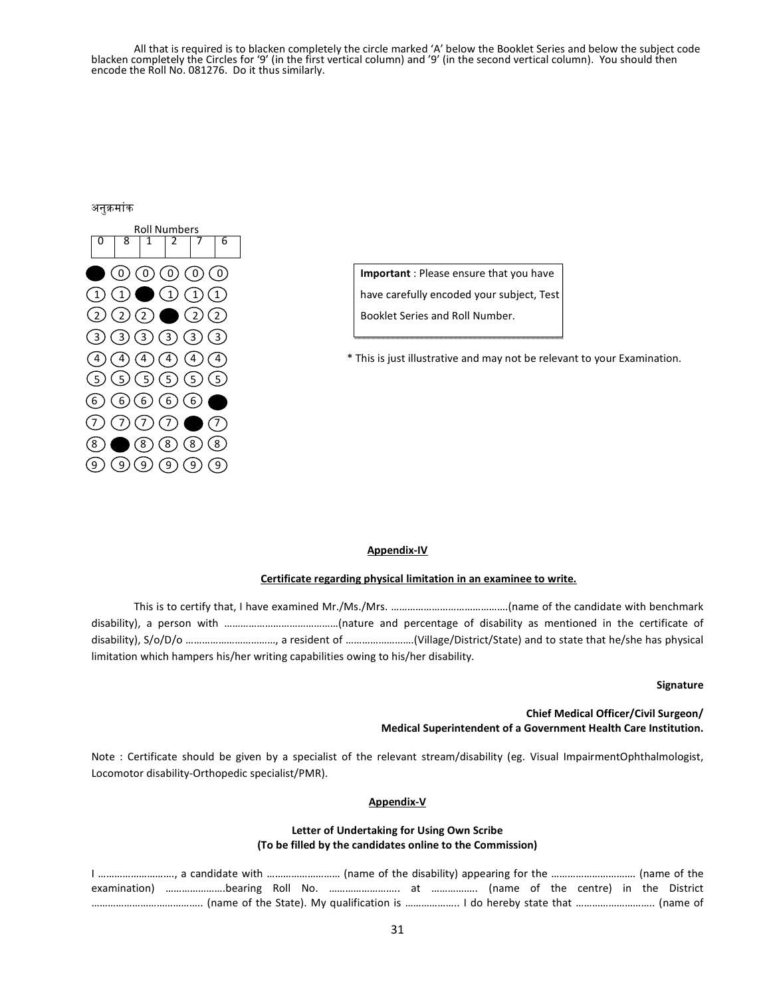All that is required is to blacken completely the circle marked 'A' below the Booklet Series and below the subject code blacken completely the Circles for '9' (in the first vertical column) and '9' (in the second vertical column). You should then encode the Roll No. 081276. Do it thus similarly.

#### अनुक्रमांक



 0 0 0 0 0 **Important** : Please ensure that you have  $\textcircled{1}$   $\textcircled{1}$   $\textcircled{1}$   $\textcircled{1}$   $\textcircled{1}$   $\textcircled{1}$  have carefully encoded your subject, Test

 $(4)$   $(4)$   $(4)$   $(4)$   $(4)$   $(4)$   $(4)$ 

#### **Appendix-IV**

#### **Certificate regarding physical limitation in an examinee to write.**

This is to certify that, I have examined Mr./Ms./Mrs. …………………………………….(name of the candidate with benchmark disability), a person with ……………………………………(nature and percentage of disability as mentioned in the certificate of disability), S/o/D/o ……………………………, a resident of …………………….(Village/District/State) and to state that he/she has physical limitation which hampers his/her writing capabilities owing to his/her disability.

#### **Signature**

**Chief Medical Officer/Civil Surgeon/ Medical Superintendent of a Government Health Care Institution.** 

Note : Certificate should be given by a specialist of the relevant stream/disability (eg. Visual ImpairmentOphthalmologist, Locomotor disability-Orthopedic specialist/PMR).

#### **Appendix-V**

#### **Letter of Undertaking for Using Own Scribe (To be filled by the candidates online to the Commission)**